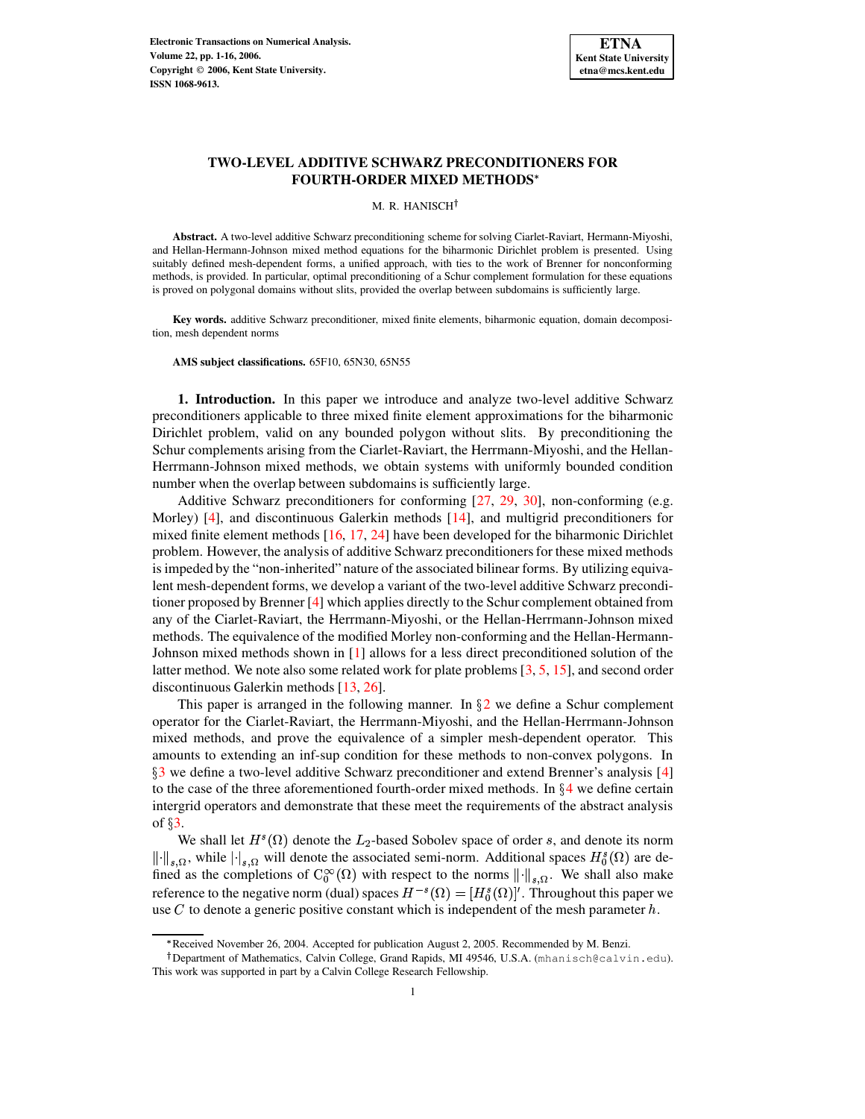

## **TWO-LEVEL ADDITIVE SCHWARZ PRECONDITIONERS FOR FOURTH-ORDER MIXED METHODS**

M. R. HANISCH<sup>†</sup>

**Abstract.** A two-level additive Schwarz preconditioning scheme for solving Ciarlet-Raviart, Hermann-Miyoshi, and Hellan-Hermann-Johnson mixed method equations for the biharmonic Dirichlet problem is presented. Using suitably defined mesh-dependent forms, a unified approach, with ties to the work of Brenner for nonconforming methods, is provided. In particular, optimal preconditioning of a Schur complement formulation for these equations is proved on polygonal domains without slits, provided the overlap between subdomains is sufficiently large.

**Key words.** additive Schwarz preconditioner, mixed finite elements, biharmonic equation, domain decomposition, mesh dependent norms

**AMS subject classifications.** 65F10, 65N30, 65N55

**1. Introduction.** In this paper we introduce and analyze two-level additive Schwarz preconditioners applicable to three mixed finite element approximations for the biharmonic Dirichlet problem, valid on any bounded polygon without slits. By preconditioning the Schur complements arising from the Ciarlet-Raviart, the Herrmann-Miyoshi, and the Hellan-Herrmann-Johnson mixed methods, we obtain systems with uniformly bounded condition number when the overlap between subdomains is sufficiently large.

Additive Schwarz preconditioners for conforming [\[27,](#page-14-0) [29,](#page-14-1) [30\]](#page-14-2), non-conforming (e.g. Morley) [\[4\]](#page-14-3), and discontinuous Galerkin methods [\[14\]](#page-14-4), and multigrid preconditioners for mixed finite element methods [\[16,](#page-14-5) [17,](#page-14-6) [24\]](#page-14-7) have been developed for the biharmonic Dirichlet problem. However, the analysis of additive Schwarz preconditioners for these mixed methods is impeded by the "non-inherited" nature of the associated bilinear forms. By utilizing equivalent mesh-dependent forms, we develop a variant of the two-level additive Schwarz preconditioner proposed by Brenner [\[4\]](#page-14-3) which applies directly to the Schur complement obtained from any of the Ciarlet-Raviart, the Herrmann-Miyoshi, or the Hellan-Herrmann-Johnson mixed methods. The equivalence of the modified Morley non-conforming and the Hellan-Hermann-Johnson mixed methods shown in [\[1\]](#page-14-8) allows for a less direct preconditioned solution of the latter method. We note also some related work for plate problems [\[3,](#page-14-9) [5,](#page-14-10) [15\]](#page-14-11), and second order discontinuous Galerkin methods [\[13,](#page-14-12) [26\]](#page-14-13).

This paper is arranged in the following manner. In  $\S2$  $\S2$  we define a Schur complement operator for the Ciarlet-Raviart, the Herrmann-Miyoshi, and the Hellan-Herrmann-Johnson mixed methods, and prove the equivalence of a simpler mesh-dependent operator. This amounts to extending an inf-sup condition for these methods to non-convex polygons. In §[3](#page-5-0) we define a two-level additive Schwarz preconditioner and extend Brenner's analysis [\[4\]](#page-14-3) to the case of the three aforementioned fourth-order mixed methods. In  $\S 4$  $\S 4$  we define certain intergrid operators and demonstrate that these meet the requirements of the abstract analysis of  $\S$ .

We shall let  $H^s(\Omega)$  denote the  $L_2$ -based Sobolev space of order s, and denote its norm  $\|\cdot\|_{s,\Omega}$ , while  $|\cdot|_{s,\Omega}$  will denote the associated semi-norm. Additional spaces  $H_0^s(\Omega)$  are defined as the completions of  $C_0^{\infty}(\Omega)$  with respect to the norms  $\left\| \cdot \right\|_s$   $\Omega$ . We shall also make reference to the negative norm (dual) spaces  $H^{-s}(\Omega) = [H_0^s(\Omega)]'$ . Throughout this paper we use C to denote a generic positive constant which is independent of the mesh parameter  $h$ .

<sup>+</sup> Received November 26, 2004. Accepted for publication August 2, 2005. Recommended by M. Benzi.

<sup>&</sup>lt;sup>†</sup> Department of Mathematics, Calvin College, Grand Rapids, MI 49546, U.S.A. (mhanisch@calvin.edu). This work was supported in part by a Calvin College Research Fellowship.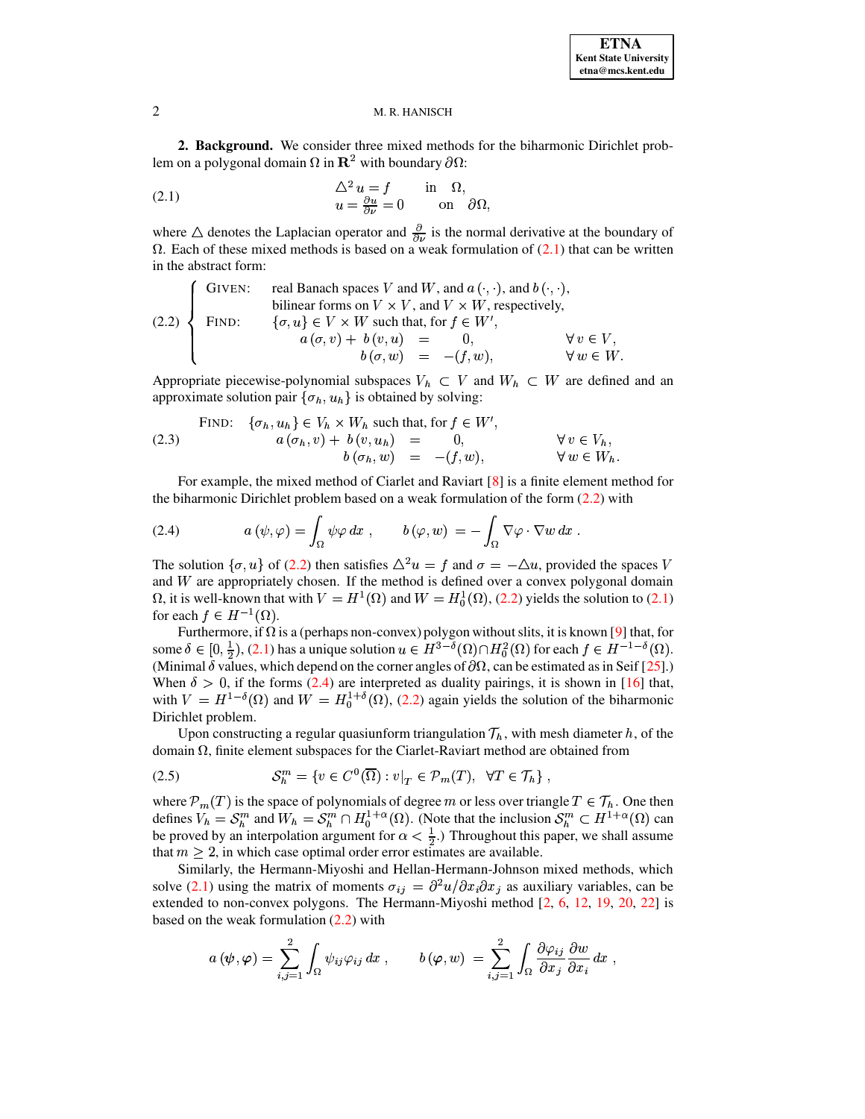<span id="page-1-0"></span>**2. Background.** We consider three mixed methods for the biharmonic Dirichlet problem on a polygonal domain  $\Omega$  in  $\mathbb{R}^2$  with boundary  $\partial\Omega$ :

<span id="page-1-1"></span>(2.1) 
$$
\Delta^2 u = f \quad \text{in } \Omega, u = \frac{\partial u}{\partial \nu} = 0 \quad \text{on } \partial \Omega,
$$

where  $\triangle$  denotes the Laplacian operator and  $\frac{\partial}{\partial v}$  is the normal derivative at the boundary of  $\Omega$ . Each of these mixed methods is based on a weak formulation of [\(2.1\)](#page-1-1) that can be written in the abstract form:

<span id="page-1-2"></span>(2.2)   
\n
$$
\begin{cases}\n\text{GIVEN:} & \text{real Banach spaces } V \text{ and } W, \text{ and } a (\cdot, \cdot), \text{ and } b (\cdot, \cdot), \\
\text{bilinear forms on } V \times V, \text{ and } V \times W, \text{ respectively,} \\
\{\sigma, u\} \in V \times W \text{ such that, for } f \in W', \\
a (\sigma, v) + b (v, u) = 0, \\
b (\sigma, w) = -(f, w), \quad \forall w \in W.\n\end{cases}
$$

Appropriate piecewise-polynomial subspaces  $V_h \subset V$  and  $W_h \subset W$  are defined and an approximate solution pair  $\{\sigma_h, u_h\}$  is obtained by solving:

<span id="page-1-4"></span>(2.3) 
$$
\begin{array}{rcl}\n\text{FIND:} & \{\sigma_h, u_h\} \in V_h \times W_h \text{ such that, for } f \in W', \\
a \left(\sigma_h, v\right) + b \left(v, u_h\right) & = & 0, \\
b \left(\sigma_h, w\right) & = & -(f, w), \\
\forall w \in W_h.\n\end{array}
$$

For example, the mixed method of Ciarlet and Raviart [\[8\]](#page-14-14) is a finite element method for the biharmonic Dirichlet problem based on a weak formulation of the form [\(2.2\)](#page-1-2) with

<span id="page-1-3"></span>(2.4) 
$$
a(\psi, \varphi) = \int_{\Omega} \psi \varphi \, dx , \qquad b(\varphi, w) = - \int_{\Omega} \nabla \varphi \cdot \nabla w \, dx .
$$

The solution  $\{\sigma, u\}$  of [\(2.2\)](#page-1-2) then satisfies  $\Delta^2 u = f$  and  $\sigma = -\Delta u$ , provided the spaces V and  $W$  are appropriately chosen. If the method is defined over a convex polygonal domain  $\Omega$ , it is well-known that with  $V = H^1(\Omega)$  and  $W = H_0^1(\Omega)$ , [\(2.2\)](#page-1-2) yields the solution to [\(2.1\)](#page-1-1) for each  $f \in H^{-1}(\Omega)$ .

Furthermore, if  $\Omega$  is a (perhaps non-convex) polygon without slits, it is known [\[9\]](#page-14-15) that, for some  $\delta \in [0, \frac{1}{2})$ , [\(2.1\)](#page-1-1) has a unique solution  $u \in H^{3-\delta}(\Omega) \cap H^2_0(\Omega)$  for each  $f \in H^{-1-\delta}(\Omega)$ . (Minimal  $\delta$  values, which depend on the corner angles of  $\partial\Omega$ , can be estimated as in Seif [\[25\]](#page-14-16).) When  $\delta > 0$ , if the forms [\(2.4\)](#page-1-3) are interpreted as duality pairings, it is shown in [\[16\]](#page-14-5) that, with  $V = H^{1-\delta}(\Omega)$  and  $W = H_0^{1+\delta}(\Omega)$ , [\(2.2\)](#page-1-2) again yields the solution of the biharmonic Dirichlet problem.

Upon constructing a regular quasiunform triangulation  $\mathcal{T}_h$ , with mesh diameter h, of the domain  $\Omega$ , finite element subspaces for the Ciarlet-Raviart method are obtained from

(2.5) 
$$
\mathcal{S}_h^m = \{ v \in C^0(\overline{\Omega}) : v|_T \in \mathcal{P}_m(T), \ \forall T \in \mathcal{T}_h \},
$$

where  $\mathcal{P}_m(T)$  is the space of polynomials of degree m or less over triangle  $T \in \mathcal{T}_h$ . One then defines  $V_h = S_h^m$  and  $W_h = S_h^m \cap H_0^{1+\alpha}(\Omega)$ . (Note that the inclusion  $S_h^m \subset H^{1+\alpha}(\Omega)$  can be proved by an interpolation argument for  $\alpha < \frac{1}{2}$ .) Throughout this paper, we shall assume that  $m \geq 2$ , in which case optimal order error estimates are available.

Similarly, the Hermann-Miyoshi and Hellan-Hermann-Johnson mixed methods, which solve [\(2.1\)](#page-1-1) using the matrix of moments  $\sigma_{ij} = \frac{\partial^2 u}{\partial x_i \partial x_j}$  as auxiliary variables, can be extended to non-convex polygons. The Hermann-Miyoshi method [\[2,](#page-14-17) [6,](#page-14-18) [12,](#page-14-19) [19,](#page-14-20) [20,](#page-14-21) [22\]](#page-14-22) is based on the weak formulation [\(2.2\)](#page-1-2) with

$$
a\left(\boldsymbol{\psi},\boldsymbol{\varphi}\right)=\sum_{i,j=1}^{2}\int_{\Omega}\psi_{ij}\varphi_{ij}\,dx\;, \qquad b\left(\boldsymbol{\varphi},w\right)\,=\sum_{i,j=1}^{2}\int_{\Omega}\frac{\partial\varphi_{ij}}{\partial x_{j}}\frac{\partial w}{\partial x_{i}}\,dx\;,
$$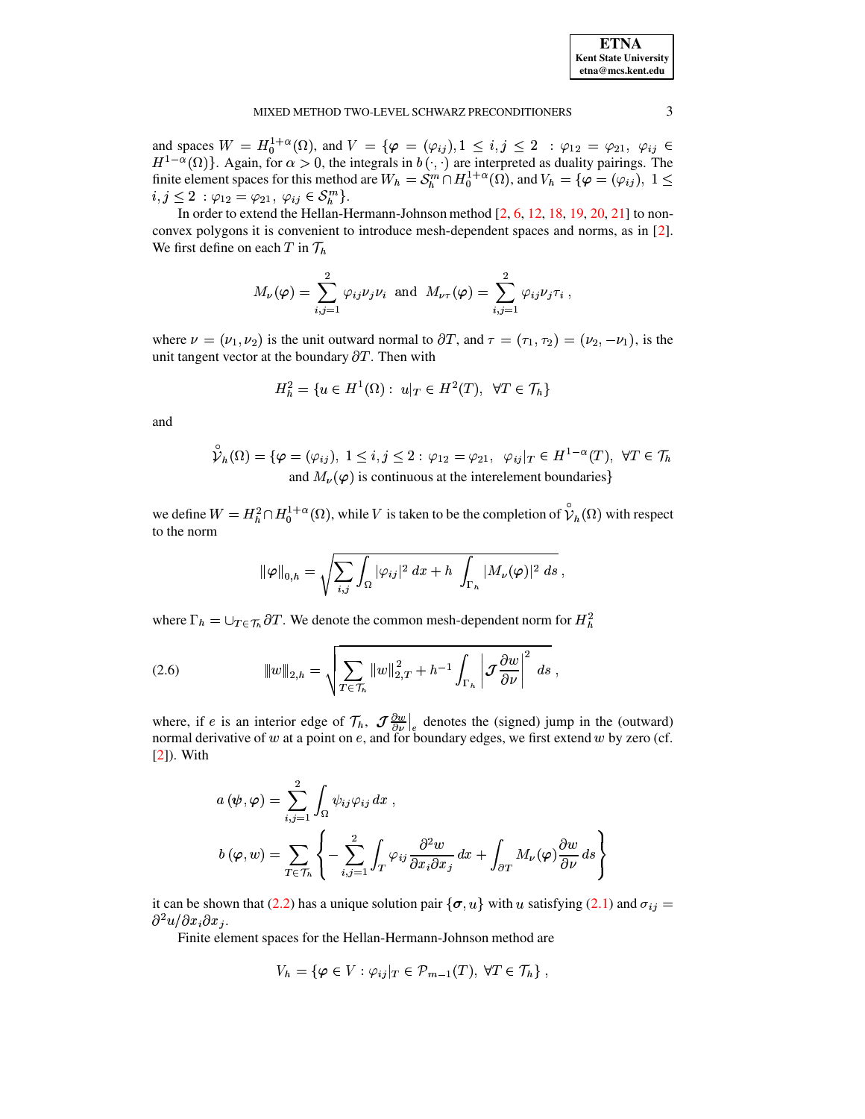and spaces  $W = H_0^{1+\alpha}(\Omega)$ , and  $V = {\varphi = (\varphi_{ij}), 1 \le i, j \le 2 : \varphi_{12} = \varphi_{21}, \varphi_{ij} \in H^{1-\alpha}(\Omega)}$ . Again, for  $\alpha > 0$ , the integrals in  $b(\cdot, \cdot)$  are interpreted as duality pairings. The finite element spaces for this method are  $i, j \leq 2 \; : \varphi_{12} = \varphi_{21}, \; \varphi_{ij} \in \mathcal{S}_h^m \}.$ 

In order to extend the Hellan-Hermann-Johnson method  $[2, 6, 12, 18, 19, 20, 21]$  to nonconvex polygons it is convenient to introduce mesh-dependent spaces and norms, as in [2]. We first define on each  $T$  in  $\mathcal{T}_h$ 

$$
M_{\nu}(\varphi) = \sum_{i,j=1}^{2} \varphi_{ij} \nu_j \nu_i \text{ and } M_{\nu \tau}(\varphi) = \sum_{i,j=1}^{2} \varphi_{ij} \nu_j \tau_i ,
$$

where  $\nu = (\nu_1, \nu_2)$  is the unit outward normal to  $\partial T$ , and  $\tau = (\tau_1, \tau_2) = (\nu_2, -\nu_1)$ , is the unit tangent vector at the boundary  $\partial T$ . Then with

$$
H_h^2 = \{ u \in H^1(\Omega) : u|_T \in H^2(T), \ \forall T \in \mathcal{T}_h \}
$$

and

$$
\hat{\mathcal{V}}_h(\Omega) = \{ \varphi = (\varphi_{ij}), \ 1 \le i, j \le 2 : \varphi_{12} = \varphi_{21}, \ \varphi_{ij} |_{T} \in H^{1-\alpha}(T), \ \forall T \in \mathcal{T}_h \}
$$
  
and  $M_{\nu}(\varphi)$  is continuous at the interelement boundaries

we define  $W = H_h^2 \cap H_0^{1+\alpha}(\Omega)$ , while V is taken to be the completion of  $\hat{\nu}_h(\Omega)$  with respect to the norm

$$
\|\varphi\|_{0,h} = \sqrt{\sum_{i,j} \int_{\Omega} |\varphi_{ij}|^2 dx + h \int_{\Gamma_h} |M_{\nu}(\varphi)|^2 ds} ,
$$

where  $\Gamma_h = \bigcup_{T \in \mathcal{T}_h} \partial T$ . We denote the common mesh-dependent norm for  $H_h^2$ 

(2.6) 
$$
\|w\|_{2,h} = \sqrt{\sum_{T \in \mathcal{T}_h} \|w\|_{2,T}^2 + h^{-1} \int_{\Gamma_h} \left| \mathcal{J} \frac{\partial w}{\partial \nu} \right|^2 ds},
$$

where, if e is an interior edge of  $\mathcal{T}_h$ ,  $\mathcal{J}\frac{\partial w}{\partial v}\Big|_e$  denotes the (signed) jump in the (outward) normal derivative of  $w$  at a point on  $e$ , and for boundary edges, we first extend  $w$  by zero (cf.  $[2]$ ). With

$$
a(\psi, \varphi) = \sum_{i,j=1}^{2} \int_{\Omega} \psi_{ij} \varphi_{ij} dx ,
$$
  

$$
b(\varphi, w) = \sum_{T \in \mathcal{T}_h} \left\{ -\sum_{i,j=1}^{2} \int_{T} \varphi_{ij} \frac{\partial^2 w}{\partial x_i \partial x_j} dx + \int_{\partial T} M_{\nu}(\varphi) \frac{\partial w}{\partial \nu} ds \right\}
$$

it can be shown that (2.2) has a unique solution pair  $\{\sigma, u\}$  with u satisfying (2.1) and  $\sigma_{ij} =$  $\partial^2 u/\partial x_i \partial x_j$ .

Finite element spaces for the Hellan-Hermann-Johnson method are

$$
V_h = \{ \varphi \in V : \varphi_{ij} |_{T} \in \mathcal{P}_{m-1}(T), \ \forall T \in \mathcal{T}_h \},
$$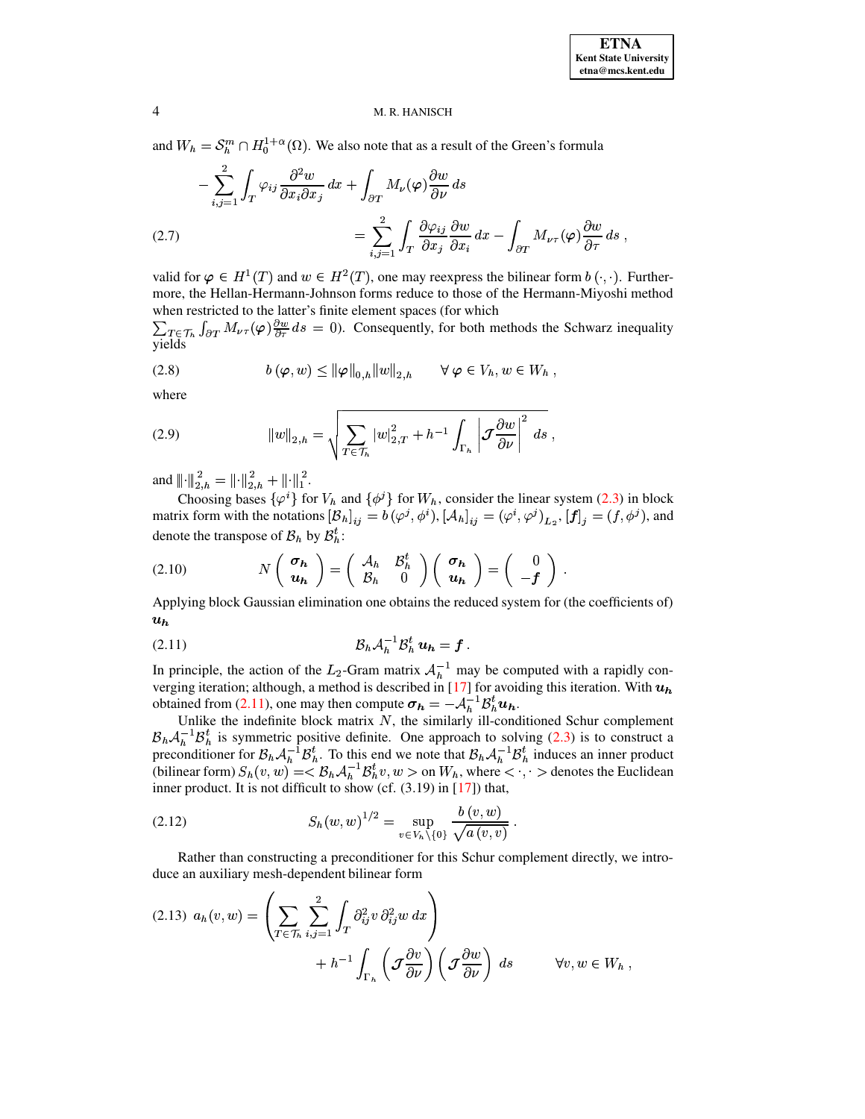and  $W_h = S_h^m \cap H_0^{1+\alpha}(\Omega)$ . We also note that as a result of the Green's formula

<span id="page-3-3"></span>
$$
-\sum_{i,j=1}^{2} \int_{T} \varphi_{ij} \frac{\partial^2 w}{\partial x_i \partial x_j} dx + \int_{\partial T} M_{\nu}(\varphi) \frac{\partial w}{\partial \nu} ds
$$
  
(2.7)  

$$
= \sum_{i,j=1}^{2} \int_{T} \frac{\partial \varphi_{ij}}{\partial x_j} \frac{\partial w}{\partial x_i} dx - \int_{\partial T} M_{\nu \tau}(\varphi) \frac{\partial w}{\partial \tau} ds ,
$$

valid for  $\varphi \in H^1(T)$  and  $w \in H^2(T)$ , one may reexpress the bilinear form  $b(\cdot, \cdot)$ . Furthermore, the Hellan-Hermann-Johnson forms reduce to those of the Hermann-Miyoshi method when restricted to the latter's finite element spaces (for which

 $\sum_{T \in \mathcal{T}_h} \int_{\partial T} M_{\nu \tau}(\varphi) \frac{\partial w}{\partial \tau} ds = 0$ . Consequently, for both methods the Schwarz inequality vields

<span id="page-3-2"></span>
$$
(2.8) \t b(\varphi, w) \leq \|\varphi\|_{0,h} \|w\|_{2,h} \quad \forall \varphi \in V_h, w \in W_h ,
$$

where

<span id="page-3-4"></span>(2.9) 
$$
||w||_{2,h} = \sqrt{\sum_{T \in \mathcal{T}_h} |w|_{2,T}^2 + h^{-1} \int_{\Gamma_h} \left| \mathcal{J} \frac{\partial w}{\partial \nu} \right|^2 ds},
$$

and  $\left\|\cdot\right\|_{2,h}^{2} = \left\|\cdot\right\|_{2,h}^{2} + \left\|\cdot\right\|_{1}^{2}$ .

Choosing bases  $\{\varphi^i\}$  for  $V_h$  and  $\{\phi^j\}$  for  $W_h$ , consider the linear system (2.3) in block matrix form with the notations  $[\mathcal{B}_h]_{ij} = b(\varphi^j, \phi^i)$ ,  $[\mathcal{A}_h]_{ij} = (\varphi^i, \varphi^j)_{L_2}$ ,  $[f]_j = (f, \phi^j)$ , and denote the transpose of  $B_h$  by  $B_h^t$ :

(2.10) 
$$
N\left(\begin{array}{c}\n\sigma_h \\
u_h\n\end{array}\right) = \left(\begin{array}{cc}\nA_h & B_h^t \\
B_h & 0\n\end{array}\right) \left(\begin{array}{c}\n\sigma_h \\
u_h\n\end{array}\right) = \left(\begin{array}{c}\n0 \\
-f\n\end{array}\right)
$$

Applying block Gaussian elimination one obtains the reduced system for (the coefficients of)  $u_h$ 

<span id="page-3-0"></span>

In principle, the action of the  $L_2$ -Gram matrix  $A_h^{-1}$  may be computed with a rapidly converging iteration; although, a method is described in [17] for avoiding this iteration. With  $u_h$ obtained from (2.11), one may then compute  $\sigma_h = -\mathcal{A}_h^{-1} \mathcal{B}_h^t u_h$ .

Unlike the indefinite block matrix  $N$ , the similarly ill-conditioned Schur complement  $\mathcal{B}_h \mathcal{A}_h^{-1} \mathcal{B}_h^t$  is symmetric positive definite. One approach to solving (2.3) is to construct a preconditioner for  $\mathcal{B}_h \mathcal{A}_h^{-1} \mathcal{B}_h^t$ . To this end we note that  $\mathcal{B}_h \mathcal{A}_h^{-1} \mathcal{B}_h^t$  induces a inner product. It is not difficult to show (cf. (3.19) in [17]) that,

<span id="page-3-1"></span>(2.12) 
$$
S_h(w, w)^{1/2} = \sup_{v \in V_h \setminus \{0\}} \frac{b(v, w)}{\sqrt{a(v, v)}}.
$$

Rather than constructing a preconditioner for this Schur complement directly, we introduce an auxiliary mesh-dependent bilinear form

<span id="page-3-5"></span>
$$
(2.13) \ \ a_h(v, w) = \left(\sum_{T \in \mathcal{T}_h} \sum_{i,j=1}^2 \int_T \partial_{ij}^2 v \, \partial_{ij}^2 w \, dx\right) + h^{-1} \int_{\Gamma_h} \left(\mathcal{J} \frac{\partial v}{\partial \nu}\right) \left(\mathcal{J} \frac{\partial w}{\partial \nu}\right) \, ds \qquad \forall v, w \in W_h
$$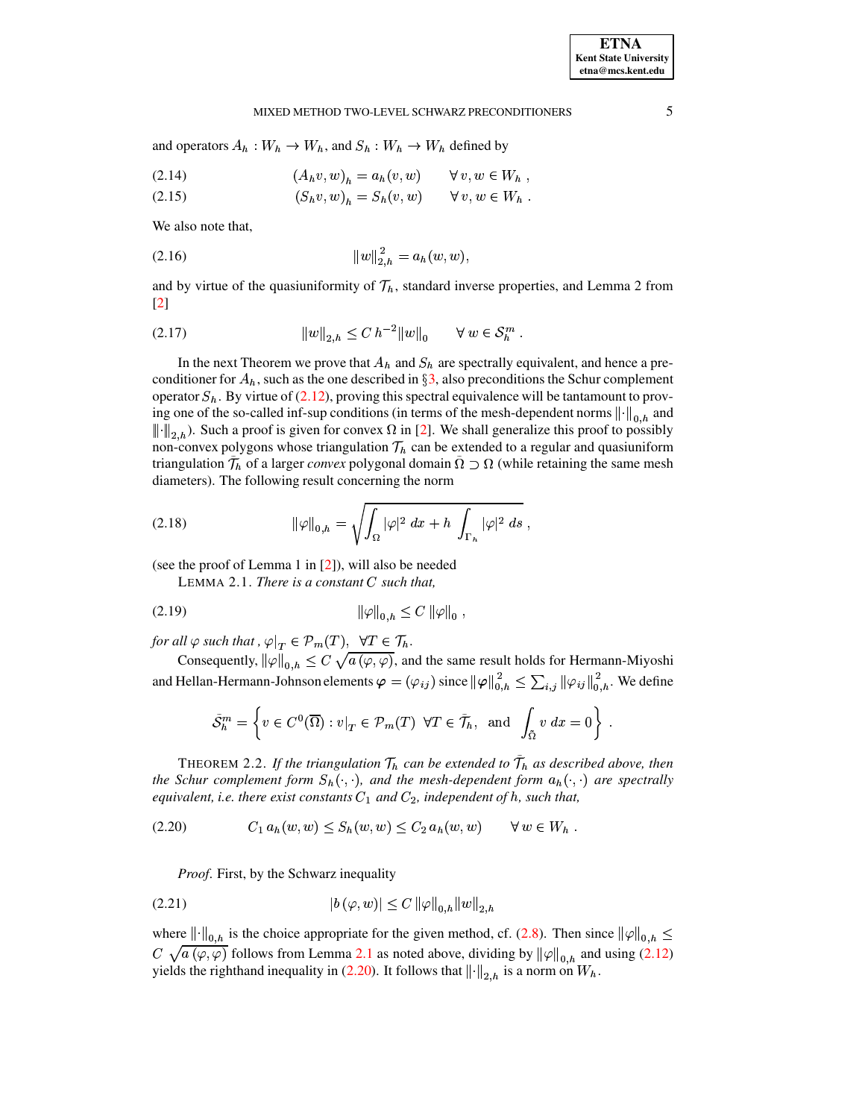#### MIXED METHOD TWO-LEVEL SCHWARZ PRECONDITIONERS

and operators  $A_h: W_h \to W_h$ , and  $S_h: W_h \to W_h$  defined by

$$
(2.14) \qquad (A_h v, w)_h = a_h(v, w) \qquad \forall \ v, w \in W_h
$$

$$
(2.15) \qquad (S_h v, w)_h = S_h(v, w) \qquad \forall \ v, w \in W_h
$$

We also note that,

<span id="page-4-2"></span>

and by virtue of the quasiuniformity of  $\mathcal{T}_h$ , standard inverse properties, and Lemma 2 from  $\left[2\right]$ 

<span id="page-4-3"></span>(2.17) 
$$
||w||_{2,h} \leq C h^{-2} ||w||_0 \quad \forall w \in \mathcal{S}_h^m
$$

In the next Theorem we prove that  $A_h$  and  $S_h$  are spectrally equivalent, and hence a preconditioner for  $A_h$ , such as the one described in §3, also preconditions the Schur complement operator  $S_h$ . By virtue of (2.12), proving this spectral equivalence will be tantamount to proving one of the so-called inf-sup conditions (in terms of the mesh-dependent norms  $\|\cdot\|_{0, h}$  and  $\|\cdot\|_{2, b}$ ). Such a proof is given for convex  $\Omega$  in [2]. We shall generalize this proof to possibly non-convex polygons whose triangulation  $\mathcal{T}_h$  can be extended to a regular and quasiuniform triangulation  $\mathcal{T}_h$  of a larger *convex* polygonal domain  $\Omega \supset \Omega$  (while retaining the same mesh diameters). The following result concerning the norm

(2.18) 
$$
\|\varphi\|_{0,h} = \sqrt{\int_{\Omega} |\varphi|^2 dx + h \int_{\Gamma_h} |\varphi|^2 ds}
$$

<span id="page-4-0"></span>(see the proof of Lemma 1 in  $[2]$ ), will also be needed

LEMMA 2.1. There is a constant  $C$  such that,

(2.19) 
$$
\|\varphi\|_{0,h} \le C \|\varphi\|_{0}
$$

for all  $\varphi$  such that,  $\varphi|_T \in \mathcal{P}_m(T)$ ,  $\forall T \in \mathcal{T}_h$ .

Consequently,  $\|\varphi\|_{0,h} \leq C \sqrt{a(\varphi,\varphi)}$ , and the same result holds for Hermann-Miyoshi and Hellan-Hermann-Johnson elements  $\varphi = (\varphi_{ij})$  since  $\|\varphi\|_{0,h}^2 \leq \sum_{i,j} \|\varphi_{ij}\|_{0,h}^2$ . We define

$$
\tilde{S}_h^m = \left\{ v \in C^0(\overline{\Omega}) : v|_T \in \mathcal{P}_m(T) \ \forall T \in \tilde{\mathcal{T}}_h, \text{ and } \int_{\tilde{\Omega}} v \, dx = 0 \right\} .
$$

THEOREM 2.2. If the triangulation  $\mathcal{T}_h$  can be extended to  $\mathcal{T}_h$  as described above, then the Schur complement form  $S_h(\cdot, \cdot)$ , and the mesh-dependent form  $a_h(\cdot, \cdot)$  are spectrally equivalent, i.e. there exist constants  $C_1$  and  $C_2$ , independent of h, such that,

<span id="page-4-1"></span>
$$
(2.20) \tC_1 a_h(w, w) \le S_h(w, w) \le C_2 a_h(w, w) \t\forall w \in W_h
$$

*Proof.* First, by the Schwarz inequality

(2.21) 
$$
|b(\varphi, w)| \le C \|\varphi\|_{0,h} \|w\|_{2,h}
$$

where  $\left\|\cdot\right\|_{0,h}$  is the choice appropriate for the given method, cf. (2.8). Then since  $\left\|\varphi\right\|_{0,h} \leq$  $C \sqrt{a(\varphi, \varphi)}$  follows from Lemma 2.1 as noted above, dividing by  $\|\varphi\|_{0,h}$  and using (2.12) yields the righthand inequality in (2.20). It follows that  $\|\cdot\|_{2,h}$  is a norm on  $W_h$ .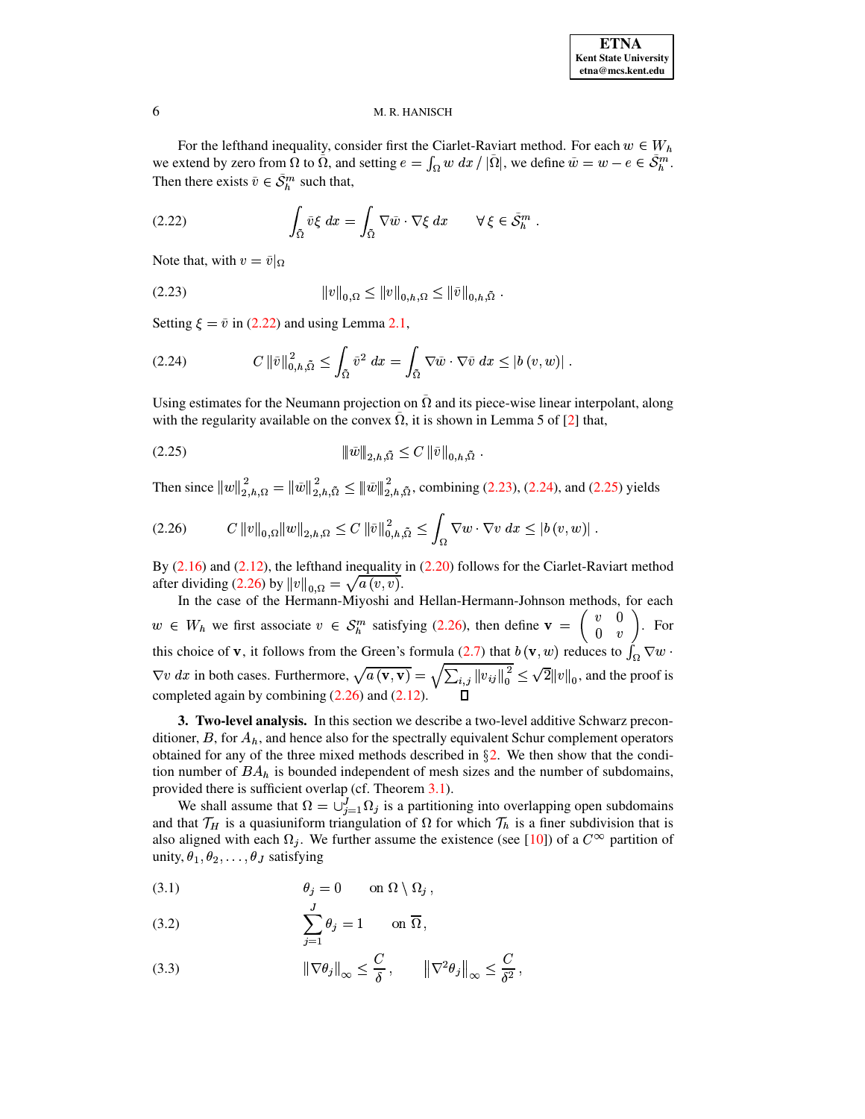For the lefthand inequality, consider first the Ciarlet-Raviart method. For each  $w \in W_h$ we extend by zero from  $\Omega$  to  $\Omega$ , and setting  $e = \int_{\Omega} w \, dx / |\Omega|$ , we define  $\tilde{w} = w - e \in \mathcal{S}_h^m$ . Then there exists  $\tilde{v} \in \mathcal{S}_h^m$  such that,

<span id="page-5-1"></span>(2.22) 
$$
\int_{\tilde{\Omega}} \tilde{v} \xi \, dx = \int_{\tilde{\Omega}} \nabla \tilde{w} \cdot \nabla \xi \, dx \qquad \forall \xi \in \tilde{\mathcal{S}}_h^m.
$$

Note that, with  $v = \tilde{v}|_{\Omega}$ 

<span id="page-5-2"></span>
$$
||v||_{0,\Omega} \le ||v||_{0,h,\Omega} \le ||\tilde{v}||_{0,h,\tilde{\Omega}}.
$$

Setting  $\xi = \tilde{v}$  in [\(2.22\)](#page-5-1) and using Lemma [2.1,](#page-4-0)

<span id="page-5-3"></span>
$$
(2.24) \tC \|\tilde{v}\|_{0,h,\tilde{\Omega}}^2 \leq \int_{\tilde{\Omega}} \tilde{v}^2 dx = \int_{\tilde{\Omega}} \nabla \tilde{w} \cdot \nabla \tilde{v} dx \leq |b(v,w)|.
$$

Using estimates for the Neumann projection on  $\tilde{\Omega}$  and its piece-wise linear interpolant, along with the regularity available on the convex  $\Omega$ , it is shown in Lemma 5 of [\[2\]](#page-14-17) that,

<span id="page-5-4"></span> b <sup>i</sup> ¹½) <sup>U</sup> <sup>i</sup> (2.25) <sup>h</sup>

Then since  $||w||_{2,h,\Omega}^2 = ||\tilde{w}||_2^2$  $\sum_{i=1}^{3} h_{i} \Omega_{i} = ||\tilde{w}||_{2,h,\tilde{\Omega}}^{2} \leq ||\tilde{w}||_{2,h,\tilde{\Omega}}^{2}$  $\sum_{i=2, h, \tilde{\Omega}}^2 \leq ||\tilde{w}||_{2, h, \tilde{\Omega}}^2$ , combining [\(2.23\)](#page-5-2), [\(2.24\)](#page-5-3), and [\(2.25\)](#page-5-4) yields

<span id="page-5-5"></span>
$$
(2.26) \t C \|v\|_{0,\Omega} \|w\|_{2,h,\Omega} \leq C \|\tilde{v}\|_{0,h,\tilde{\Omega}}^2 \leq \int_{\Omega} \nabla w \cdot \nabla v \, dx \leq |b(v,w)|.
$$

By  $(2.16)$  and  $(2.12)$ , the lefthand inequality in  $(2.20)$  follows for the Ciarlet-Raviart method after dividing [\(2.26\)](#page-5-5) by  $||v||_{0,\Omega} = \sqrt{a(v,v)}$ .

In the case of the Hermann-Miyoshi and Hellan-Hermann-Johnson methods, for each  $w \in W_h$  we first associate  $v \in S_h^m$  satisfying [\(2.26\)](#page-5-5), then define  $\mathbf{v} = \begin{pmatrix} v & v \\ 0 & v \end{pmatrix}$ . For this choice of **v**, it follows from the Green's formula [\(2.7\)](#page-3-3) that  $b(\mathbf{v}, w)$  reduces to  $\int_{\Omega} \nabla w$ .  $v~dx$  in both cases. Furthermore,  $\sqrt{a\,({\bf v},{\bf v})}=\sqrt{\sum_{i,j}\|v_{ij}\|_0^2}\leq \sqrt{2}\|v\|_0,$  and the proof is completed again by combining  $(2.26)$  and  $(2.12)$ .  $||v_{ij}||_0^2 \leq \sqrt{2}||v||_0$ , and the proof is

<span id="page-5-0"></span>**3. Two-level analysis.** In this section we describe a two-level additive Schwarz preconditioner,  $B$ , for  $A_h$ , and hence also for the spectrally equivalent Schur complement operators obtained for any of the three mixed methods described in  $\S$ [2.](#page-1-0) We then show that the condition number of  $BA<sub>h</sub>$  is bounded independent of mesh sizes and the number of subdomains, provided there is sufficient overlap (cf. Theorem [3.1\)](#page-7-0).

We shall assume that  $\Omega = \bigcup_{j=1}^{J} \Omega_j$  is a partitioning into overlapping open subdomains and that  $\mathcal{T}_H$  is a quasiuniform triangulation of  $\Omega$  for which  $\mathcal{T}_h$  is a finer subdivision that is also aligned with each  $\Omega_i$ . We further assume the existence (see [\[10\]](#page-14-25)) of a  $C^{\infty}$  partition of unity,  $\theta_1, \theta_2, \ldots, \theta_J$  satisfying

<span id="page-5-6"></span>(3.1) 
$$
\theta_j = 0 \qquad \text{on } \Omega \setminus \Omega_j ,
$$

(3.2) 
$$
\sum_{j=1}^{J} \theta_j = 1 \quad \text{on } \overline{\Omega},
$$

(3.3) 
$$
\|\nabla \theta_j\|_{\infty} \leq \frac{C}{\delta}, \qquad \|\nabla^2 \theta_j\|_{\infty} \leq \frac{C}{\delta^2},
$$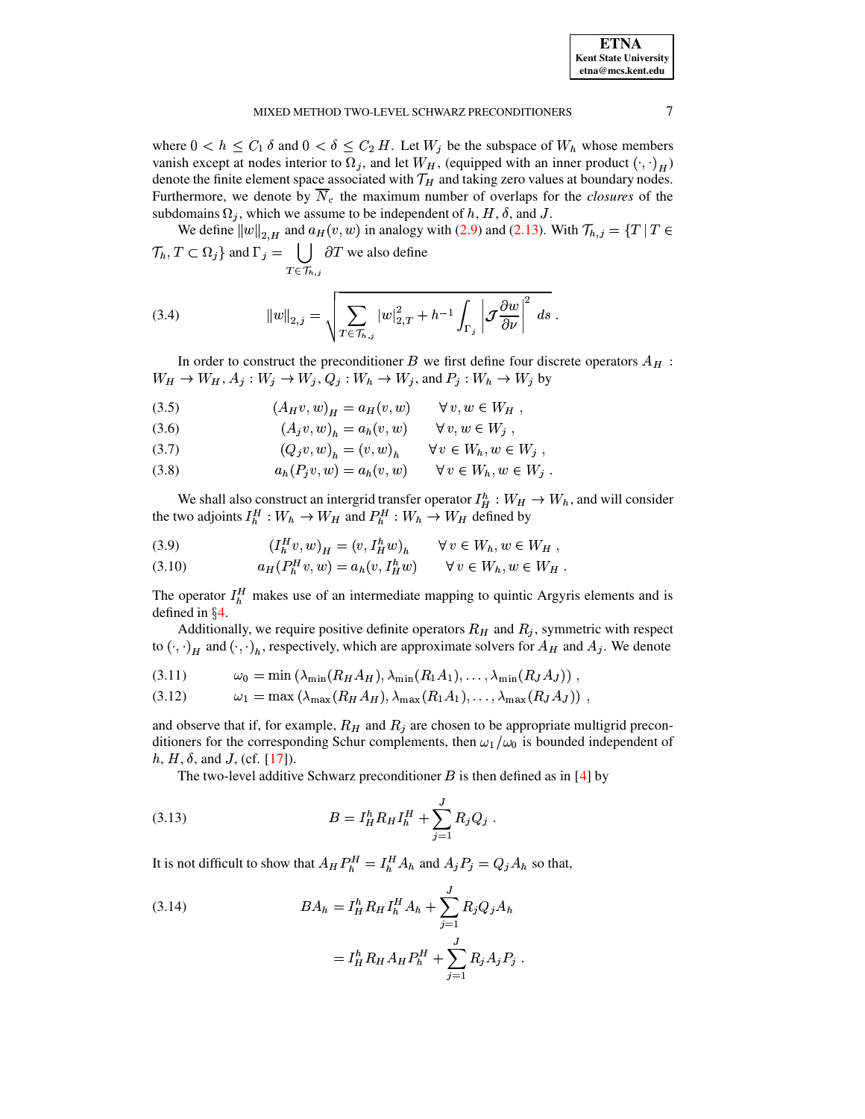| <b>ETNA</b>                  |
|------------------------------|
| <b>Kent State University</b> |
| etna@mcs.kent.edu            |

#### MIXED METHOD TWO-LEVEL SCHWARZ PRECONDITIONERS

where  $0 < h \le C_1 \delta$  and  $0 < \delta \le C_2 H$ . Let  $W_j$  be the subspace of  $W_h$  whose members vanish except at nodes interior to  $\Omega_j$ , and let  $W_H$ , (equipped with an inner product  $(\cdot, \cdot)_H$ ) denote the finite element space associated with  $\mathcal{T}_H$  and taking zero values at boundary nodes. Furthermore, we denote by  $\overline{N}_c$  the maximum number of overlaps for the *closures* of the subdomains  $\Omega_j$ , which we assume to be independent of h, H,  $\delta$ , and J.

We define  $||w||_{2,H}$  and  $a_H(v, w)$  in analogy with (2.9) and (2.13). With  $\mathcal{T}_{h,j} = \{T | T \in$  $\mathcal{T}_h, T \subset \Omega_j$  and  $\Gamma_j = \bigcup \partial T$  we also define  $T \in \mathcal{T}_{h,i}$ 

(3.4) 
$$
||w||_{2,j} = \sqrt{\sum_{T \in \mathcal{T}_{h,j}} |w|_{2,T}^2 + h^{-1} \int_{\Gamma_j} \left| \mathcal{J} \frac{\partial w}{\partial \nu} \right|^2 ds}
$$

In order to construct the preconditioner B we first define four discrete operators  $A_H$ :  $W_H \rightarrow W_H$ ,  $A_j: W_j \rightarrow W_j$ ,  $Q_j: W_h \rightarrow W_j$ , and  $P_j: W_h \rightarrow W_j$  by

<span id="page-6-2"></span>
$$
(3.5) \qquad (A_H v, w)_H = a_H(v, w) \qquad \forall v, w \in W_H
$$

(3.6) 
$$
(A_j v, w)_h = a_h(v, w) \quad \forall v, w \in W_j,
$$

$$
(3.7) \qquad (Q_j v, w)_h = (v, w)_h \qquad \forall v \in W_h, w \in W_j ,
$$

$$
(3.8) \t\t ah(Pjv, w) = ah(v, w) \t\t \forall v \in Wh, w \in Wj
$$

We shall also construct an intergrid transfer operator  $I_H^h : W_H \to W_h$ , and will consider the two adjoints  $I_h^H : W_h \to W_H$  and  $P_h^H : W_h \to W_H$  defined by

<span id="page-6-1"></span>

$$
(3.10) \t a_H(P_h^H v, w) = a_h(v, I_H^h w) \t \forall v \in W_h, w \in W_H
$$

The operator  $I_h^H$  makes use of an intermediate mapping to quintic Argyris elements and is defined in  $\S 4$ .

Additionally, we require positive definite operators  $R_H$  and  $R_j$ , symmetric with respect to  $(\cdot, \cdot)_H$  and  $(\cdot, \cdot)_h$ , respectively, which are approximate solvers for  $A_H$  and  $A_j$ . We denote

$$
(3.11) \t\t \t\t \omega_0 = \min \left( \lambda_{\min}(R_H A_H), \lambda_{\min}(R_1 A_1), \ldots, \lambda_{\min}(R_J A_J) \right),
$$

$$
(3.12) \t\t \omega_1 = \max(\lambda_{\max}(R_H A_H), \lambda_{\max}(R_1 A_1), \ldots, \lambda_{\max}(R_J A_J))
$$

and observe that if, for example,  $R_H$  and  $R_j$  are chosen to be appropriate multigrid preconditioners for the corresponding Schur complements, then  $\omega_1/\omega_0$  is bounded independent of  $h, H, \delta$ , and J, (cf. [17]).

The two-level additive Schwarz preconditioner  $B$  is then defined as in [4] by

(3.13) 
$$
B = I_H^h R_H I_h^H + \sum_{j=1}^J R_j Q_j
$$

It is not difficult to show that  $A_H P_h^H = I_h^H A_h$  and  $A_j P_j = Q_j A_h$  so that,

<span id="page-6-0"></span>(3.14) 
$$
BA_h = I_H^h R_H I_h^H A_h + \sum_{j=1}^J R_j Q_j A_h
$$

$$
= I_H^h R_H A_H P_h^H + \sum_{j=1}^J R_j A_j P_j
$$

 $\overline{7}$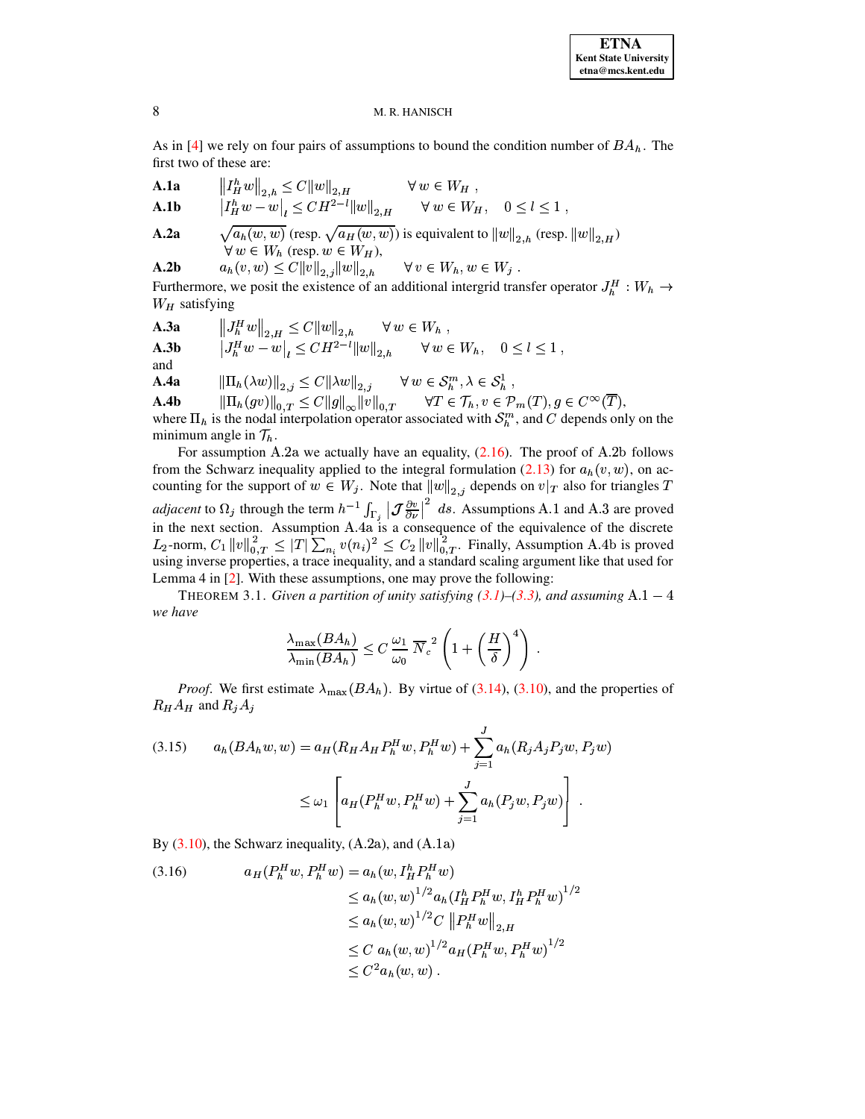As in [\[4\]](#page-14-3) we rely on four pairs of assumptions to bound the condition number of  $BA<sub>h</sub>$ . The first two of these are:

**A.1a** 
$$
\left\| \int_H^h w \right\|_{2,h} \leq C \|w\|_{2,H}
$$
  $\forall w \in W_H$ ,

**A.1b** 
$$
|I_H^h w - w|_l \leq CH^{2-l} ||w||_{2,H}
$$
  $\forall w \in W_H, 0 \leq l \leq 1$ ,

**A.2a** 
$$
\sqrt{a_h(w, w)} \text{ (resp. } \sqrt{a_H(w, w)} \text{) is equivalent to } ||w||_{2,h} \text{ (resp. } ||w||_{2,H})
$$

$$
\forall w \in W_h \text{ (resp. } w \in W_H),
$$

**A.2b**  $a_h(v, w) \leq C ||v||_{2,j} ||w||_{2,k}$  $1.11111$  $||w||_{2,k}$   $\forall v \in$  $i_2, h$   $\forall v \in W_h, w \in W_j$ .

Furthermore, we posit the existence of an additional intergrid transfer operator  $J_h^H : W_h \to$  $W_H$  satisfying

**A.3a**  $||J_h^H w||_{2,H} \leq C ||w||_{2,h} \quad \forall w \in$  $i_2, h$   $\forall w \in W_h$ , **A.3b**  $|J_h^H w - w|_l \leq C H^{2-l} ||w||_{2,h} \qquad \forall w \in$  $\forall w \in W_h, \quad 0 \leq l \leq 1,$ and

 $\mathbf{A.4a} \qquad \left\| \Pi_h(\lambda w) \right\|_{2,j} \leq C \|\lambda w\|_{2,j} \qquad \forall \ w \in \mathcal{S}_h^m, \lambda \in \mathcal{S}_h^1\ ,$ 

**A.4b**  $\|\Pi_h(gv)\|_{0,T} \leq C \|g\|_{\infty} \|v\|_{0,T}$   $||v||_{0,T}$   $\forall T \in \mathcal{T}_h, v \in \mathcal{P}_m(T), g \in C^{\infty}(T),$ where  $\Pi_h$  is the nodal interpolation operator associated with  $S_h^m$ , and C depends only on the

minimum angle in  $\mathcal{T}_h$ . For assumption A.2a we actually have an equality,  $(2.16)$ . The proof of A.2b follows from the Schwarz inequality applied to the integral formulation [\(2.13\)](#page-3-5) for  $a_h(v, w)$ , on accounting for the support of  $w \in W_j$ . Note that  $||w||_{2,i}$  depends o  $v_{2,j}$  depends on  $v|_T$  also for triangles  $T$ *adjacent* to  $\Omega_j$  through the term  $h^{-1} \int_{\Gamma_j} |\mathcal{J}^{\frac{\partial v}{\partial \nu}}|^{2} ds$ . Assumption in the next section. Assumption A.4a is a consequence of the  $\frac{\partial v}{\partial x}$   $\int$  ds. **consequen**  $\sim$  ds. Assumptions A.1 and A.3 are proved in the next section. Assumption  $A \cdot 4a$  is a consequence of the equivalence of the discrete  $L_2$ -norm,  $C_1 ||v||_{0,T}^2 \leq |T| \sum_{n_i} v(n_i)^2 \leq C_2 ||v||_{0,T}^2$ . Finally, Assumption A.4b is proved using inverse properties, a trace inequality, and a standard scaling argument like that used for Lemma 4 in [\[2\]](#page-14-17). With these assumptions, one may prove the following:

<span id="page-7-0"></span>THEOREM 3.1. *Given a partition of unity satisfying* [\(3.1\)](#page-5-6)–[\(3.3\)](#page-5-6), and assuming  $A.1 - 4$ *we have*

$$
\frac{\lambda_{\max}(BA_h)}{\lambda_{\min}(BA_h)} \leq C \frac{\omega_1}{\omega_0} \overline{N}_c^2 \left(1 + \left(\frac{H}{\delta}\right)^4\right) .
$$

*Proof.* We first estimate  $\lambda_{\text{max}}(BA_h)$ . By virtue of [\(3.14\)](#page-6-0), [\(3.10\)](#page-6-1), and the properties of  $R_H A_H$  and  $R_i A_j$ 

<span id="page-7-1"></span>(3.15) 
$$
a_h(BA_h w, w) = a_H(R_H A_H P_h^H w, P_h^H w) + \sum_{j=1}^J a_h(R_j A_j P_j w, P_j w) \leq \omega_1 \left[ a_H(P_h^H w, P_h^H w) + \sum_{j=1}^J a_h(P_j w, P_j w) \right].
$$

By  $(3.10)$ , the Schwarz inequality,  $(A.2a)$ , and  $(A.1a)$ 

<span id="page-7-2"></span>(3.16) 
$$
a_H(P_h^H w, P_h^H w) = a_h(w, I_H^h P_h^H w)
$$
  
\n
$$
\le a_h(w, w)^{1/2} a_h(I_H^h P_h^H w, I_H^h P_h^H w)^{1/2}
$$
  
\n
$$
\le a_h(w, w)^{1/2} C \left\| P_h^H w \right\|_{2,H}
$$
  
\n
$$
\le C a_h(w, w)^{1/2} a_H (P_h^H w, P_h^H w)^{1/2}
$$
  
\n
$$
\le C^2 a_h(w, w).
$$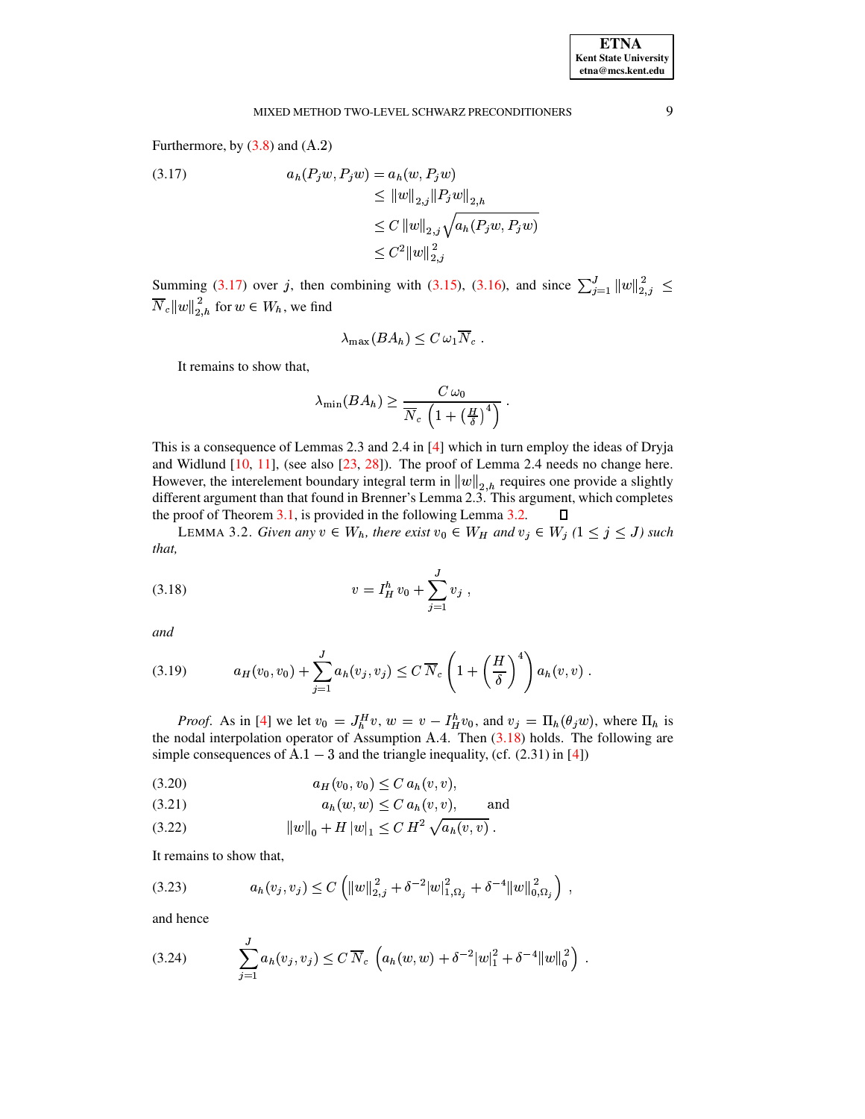#### MIXED METHOD TWO-LEVEL SCHWARZ PRECONDITIONERS

Furthermore, by  $(3.8)$  and  $(A.2)$ 

<span id="page-8-0"></span>(3.17) 
$$
a_h(P_j w, P_j w) = a_h(w, P_j w) \leq \|w\|_{2,j} \|P_j w\|_{2,h} \leq C \|w\|_{2,j} \sqrt{a_h(P_j w, P_j w)} \leq C^2 \|w\|_{2,j}^2
$$

Summing (3.17) over j, then combining with (3.15), (3.16), and since  $\sum_{j=1}^{J} ||w||_{2,j}^2 \le$  $\overline{N}_c\|w\|_{2,h}^{\,2}$  for  $w\in W_h,$  we find

$$
\lambda_{\max}(BA_h) \leq C \,\omega_1 \overline{N}_c \; .
$$

It remains to show that,

$$
\lambda_{\min}(BA_h) \ge \frac{C \omega_0}{\overline{N}_c \left(1 + \left(\frac{H}{\delta}\right)^4\right)}.
$$

This is a consequence of Lemmas 2.3 and 2.4 in  $[4]$  which in turn employ the ideas of Dryja and Widlund  $[10, 11]$ , (see also  $[23, 28]$ ). The proof of Lemma 2.4 needs no change here. However, the interelement boundary integral term in  $||w||_{2,h}$  requires one provide a slightly different argument than that found in Brenner's Lemma 2.3. This argument, which completes the proof of Theorem 3.1, is provided in the following Lemma 3.2.  $\Box$ 

<span id="page-8-1"></span>LEMMA 3.2. Given any  $v \in W_h$ , there exist  $v_0 \in W_H$  and  $v_j \in W_j$   $(1 \le j \le J)$  such that,

<span id="page-8-2"></span>(3.18) 
$$
v = I_H^h v_0 + \sum_{j=1}^J v_j
$$

and

<span id="page-8-3"></span>
$$
(3.19) \t a_H(v_0, v_0) + \sum_{j=1}^J a_h(v_j, v_j) \le C \overline{N}_c \left( 1 + \left( \frac{H}{\delta} \right)^4 \right) a_h(v, v).
$$

*Proof.* As in [4] we let  $v_0 = J_h^H v$ ,  $w = v - I_H^h v_0$ , and  $v_j = \Pi_h(\theta_j w)$ , where  $\Pi_h$  is the nodal interpolation operator of Assumption A.4. Then (3.18) holds. The following are simple consequences of  $A.1 - 3$  and the triangle inequality, (cf. (2.31) in [4])

<span id="page-8-4"></span>
$$
(3.20) \t\t a_H(v_0, v_0) \le C a_h(v, v),
$$

$$
(3.21) \t\t ah(w, w) \leq C ah(v, v), \t and
$$

$$
(3.22) \t\t ||w||_0 + H |w|_1 \leq C H^2 \sqrt{a_h(v,v)}.
$$

It remains to show that,

<span id="page-8-6"></span>
$$
(3.23) \t a_h(v_j, v_j) \le C \left( ||w||_{2,j}^2 + \delta^{-2} |w|_{1,\Omega_j}^2 + \delta^{-4} ||w||_{0,\Omega_j}^2 \right) ,
$$

and hence

<span id="page-8-5"></span>
$$
(3.24) \qquad \sum_{j=1}^{J} a_h(v_j, v_j) \leq C \, \overline{N}_c \, \left( a_h(w, w) + \delta^{-2} |w|_1^2 + \delta^{-4} ||w||_0^2 \right) \, .
$$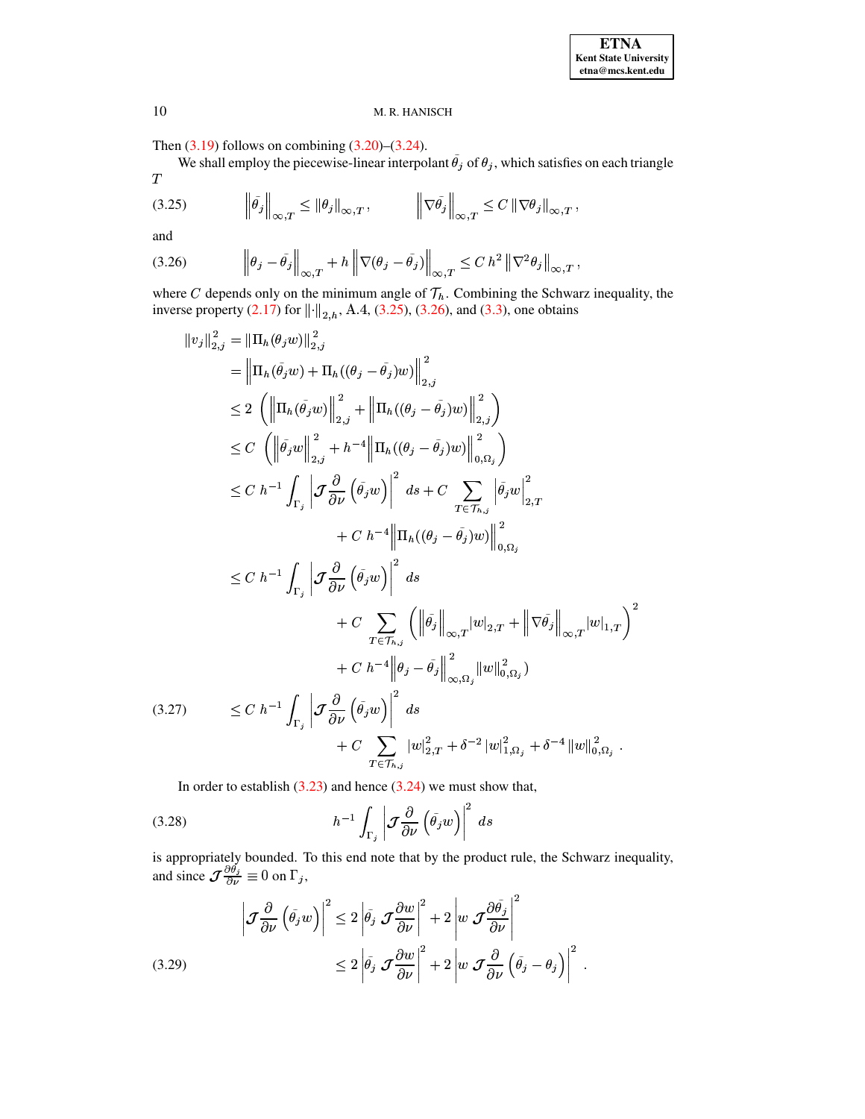Then  $(3.19)$  follows on combining  $(3.20)$ – $(3.24)$ .

We shall employ the piecewise-linear interpolant  $\tilde{\theta}_j$  of  $\theta_j$ , which satisfies on each triangle  $\boldsymbol{T}$ 

<span id="page-9-0"></span>
$$
(3.25) \t\t\t\t\left\|\tilde{\theta_j}\right\|_{\infty,T} \leq \left\|\theta_j\right\|_{\infty,T}, \t\t\t\t\left\|\nabla\tilde{\theta_j}\right\|_{\infty,T} \leq C\left\|\nabla\theta_j\right\|_{\infty,T},
$$

and

<span id="page-9-1"></span>
$$
(3.26) \t\t\t \left\|\theta_j - \tilde{\theta}_j\right\|_{\infty,T} + h\left\|\nabla(\theta_j - \tilde{\theta}_j)\right\|_{\infty,T} \leq C \; h^2 \left\|\nabla^2 \theta_j\right\|_{\infty,T},
$$

where C depends only on the minimum angle of  $\mathcal{T}_h$ . Combining the Schwarz inequality, the inverse property (2.17) for  $\|\cdot\|_{2,h}$ , A.4, (3.25), (3.26), and (3.3), one obtains

<span id="page-9-3"></span>
$$
||v_j||_{2,j}^2 = ||\Pi_h(\theta_j w)||_{2,j}^2
$$
  
\n
$$
= ||\Pi_h(\tilde{\theta}_j w) + \Pi_h((\theta_j - \tilde{\theta}_j)w)||_{2,j}^2
$$
  
\n
$$
\leq 2 (||\Pi_h(\tilde{\theta}_j w)||_{2,j}^2 + ||\Pi_h((\theta_j - \tilde{\theta}_j)w)||_{2,j}^2)
$$
  
\n
$$
\leq C (||\tilde{\theta}_j w||_{2,j}^2 + h^{-4} ||\Pi_h((\theta_j - \tilde{\theta}_j)w)||_{0,\Omega_j}^2)
$$
  
\n
$$
\leq C h^{-1} \int_{\Gamma_j} |\mathcal{J} \frac{\partial}{\partial \nu} (\tilde{\theta}_j w)|^2 ds + C \sum_{T \in \mathcal{T}_{h,j}} |\tilde{\theta}_j w||_{2,T}^2
$$
  
\n
$$
+ C h^{-4} ||\Pi_h((\theta_j - \tilde{\theta}_j)w)||_{0,\Omega_j}^2
$$
  
\n
$$
\leq C h^{-1} \int_{\Gamma_j} |\mathcal{J} \frac{\partial}{\partial \nu} (\tilde{\theta}_j w)|^2 ds
$$
  
\n
$$
+ C \sum_{T \in \mathcal{T}_{h,j}} (||\tilde{\theta}_j||_{\infty,T} |w|_{2,T} + ||\nabla \tilde{\theta}_j||_{\infty,T} |w|_{1,T})^2
$$
  
\n
$$
+ C h^{-4} ||\theta_j - \tilde{\theta}_j||_{\infty,\Omega_j}^2 ||w||_{0,\Omega_j}^2)
$$
  
\n(3.27)  
\n
$$
\leq C h^{-1} \int_{\Gamma_j} |\mathcal{J} \frac{\partial}{\partial \nu} (\tilde{\theta}_j w)|^2 ds
$$
  
\n
$$
+ C \sum_{T \in \mathcal{T}_{h,j}} |w|_{2,T}^2 + \delta^{-2} |w|_{1,\Omega_j}^2 + \delta^{-4} ||w||_{0,\Omega_j}^2.
$$

In order to establish  $(3.23)$  and hence  $(3.24)$  we must show that,

(3.28) 
$$
h^{-1} \int_{\Gamma_j} \left| \mathcal{J} \frac{\partial}{\partial \nu} \left( \tilde{\theta}_j w \right) \right|^2 ds
$$

is appropriately bounded. To this end note that by the product rule, the Schwarz inequality, and since  $\mathcal{J} \frac{\partial \theta_j}{\partial \nu} \equiv 0$  on  $\Gamma_j$ ,

<span id="page-9-2"></span>
$$
\left| \mathcal{J} \frac{\partial}{\partial \nu} \left( \tilde{\theta}_{j} w \right) \right|^{2} \leq 2 \left| \tilde{\theta}_{j} \mathcal{J} \frac{\partial w}{\partial \nu} \right|^{2} + 2 \left| w \mathcal{J} \frac{\partial \tilde{\theta}_{j}}{\partial \nu} \right|^{2}
$$
\n
$$
\leq 2 \left| \tilde{\theta}_{j} \mathcal{J} \frac{\partial w}{\partial \nu} \right|^{2} + 2 \left| w \mathcal{J} \frac{\partial}{\partial \nu} \left( \tilde{\theta}_{j} - \theta_{j} \right) \right|^{2}
$$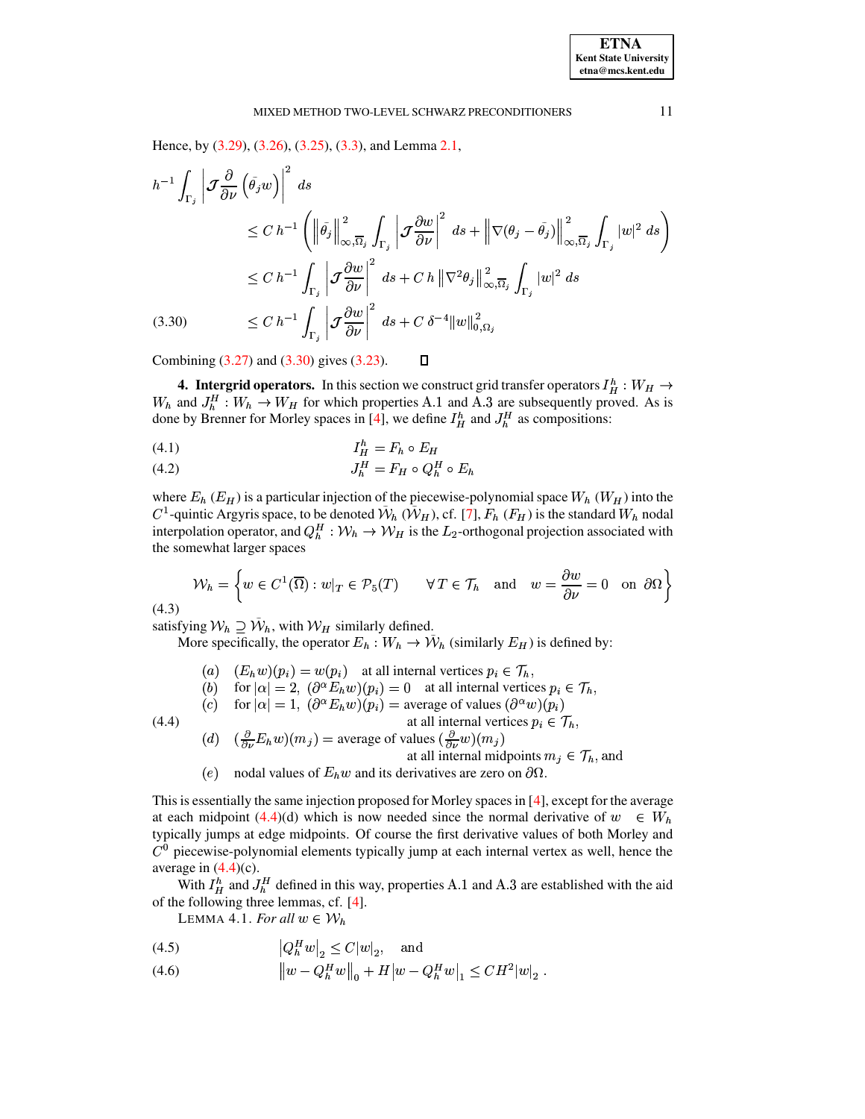Hence, by (3.29), (3.26), (3.25), (3.3), and Lemma 2.1,

<span id="page-10-1"></span>
$$
h^{-1} \int_{\Gamma_j} \left| \mathcal{J} \frac{\partial}{\partial \nu} \left( \tilde{\theta}_j w \right) \right|^2 ds
$$
  
\n
$$
\leq C h^{-1} \left( \left\| \tilde{\theta}_j \right\|_{\infty, \overline{\Omega}_j}^2 \int_{\Gamma_j} \left| \mathcal{J} \frac{\partial w}{\partial \nu} \right|^2 ds + \left\| \nabla(\theta_j - \tilde{\theta}_j) \right\|_{\infty, \overline{\Omega}_j}^2 \int_{\Gamma_j} |w|^2 ds \right)
$$
  
\n
$$
\leq C h^{-1} \int_{\Gamma_j} \left| \mathcal{J} \frac{\partial w}{\partial \nu} \right|^2 ds + C h \left\| \nabla^2 \theta_j \right\|_{\infty, \overline{\Omega}_j}^2 \int_{\Gamma_j} |w|^2 ds
$$
  
\n(3.30) 
$$
\leq C h^{-1} \int_{\Gamma_j} \left| \mathcal{J} \frac{\partial w}{\partial \nu} \right|^2 ds + C \delta^{-4} \|w\|_{0, \Omega_j}^2
$$

<span id="page-10-0"></span>Combining  $(3.27)$  and  $(3.30)$  gives  $(3.23)$ .

**4. Intergrid operators.** In this section we construct grid transfer operators  $I_H^h : W_H \to$  $W_h$  and  $J_h^H: W_h \to W_H$  for which properties A.1 and A.3 are subsequently proved. As is done by Brenner for Morley spaces in [4], we define  $I_H^h$  and  $J_H^H$  as compositions:

 $\Box$ 

$$
(4.1) \tI_H^h = F_h \circ E_H
$$

$$
(4.2) \t\t J_h^H = F_H \circ Q_h^H \circ E_l
$$

where  $E_h$  ( $E_H$ ) is a particular injection of the piecewise-polynomial space  $W_h$  ( $W_H$ ) into the  $C^1$ -quintic Argyris space, to be denoted  $\tilde{W}_h(\tilde{W}_H)$ , cf. [7],  $F_h(F_H)$  is the standard  $W_h$  nodal interpolation operator, and  $Q_h^H: W_h \to W_H$  is the  $L_2$ -orthogonal projection associated with the somewhat larger spaces

$$
\mathcal{W}_h = \left\{ w \in C^1(\overline{\Omega}) : w|_T \in \mathcal{P}_5(T) \quad \forall T \in \mathcal{T}_h \text{ and } w = \frac{\partial w}{\partial \nu} = 0 \text{ on } \partial \Omega \right\}
$$

 $(4.3)$ 

satisfying  $W_h \supseteq \tilde{W}_h$ , with  $W_H$  similarly defined.

More specifically, the operator  $E_h : W_h \to \tilde{W}_h$  (similarly  $E_H$ ) is defined by:

(a)  $(E_h w)(p_i) = w(p_i)$  at all internal vertices  $p_i \in \mathcal{T}_h$ , (b) for  $|\alpha| = 2$ ,  $(\partial^{\alpha} E_h w)(p_i) = 0$  at all internal vertices  $p_i \in \mathcal{T}_h$ , (c) for  $|\alpha| = 1$ ,  $(\partial^{\alpha} E_h w)(p_i) =$  average of values  $(\partial^{\alpha} w)(p_i)$ at all internal vertices  $p_i \in \mathcal{T}_h$ ,

<span id="page-10-2"></span> $(4.4)$ 

- (d)  $\left(\frac{\partial}{\partial \nu}E_h w\right)(m_j)$  = average of values  $\left(\frac{\partial}{\partial \nu}w\right)(m_j)$ at all internal midpoints  $m_i \in \mathcal{T}_h$ , and
- (e) nodal values of  $E_h w$  and its derivatives are zero on  $\partial \Omega$ .

This is essentially the same injection proposed for Morley spaces in [4], except for the average at each midpoint (4.4)(d) which is now needed since the normal derivative of  $w \in W_h$ typically jumps at edge midpoints. Of course the first derivative values of both Morley and  $C<sup>0</sup>$  piecewise-polynomial elements typically jump at each internal vertex as well, hence the average in  $(4.4)(c)$ .

<span id="page-10-3"></span>With  $I_H^h$  and  $J_H^H$  defined in this way, properties A.1 and A.3 are established with the aid of the following three lemmas, cf. [4].

LEMMA 4.1. For all  $w \in \mathcal{W}_h$ 

$$
(4.5) \t |Q_h^H w|_2 \le C|w|_2, \text{ and}
$$

(4.6) 
$$
\|w - Q_h^H w\|_0 + H|w - Q_h^H w|_1 \leq C H^2|w|_2.
$$

11

**ETNA Kent State University**  $etna@mcs. kent.edu$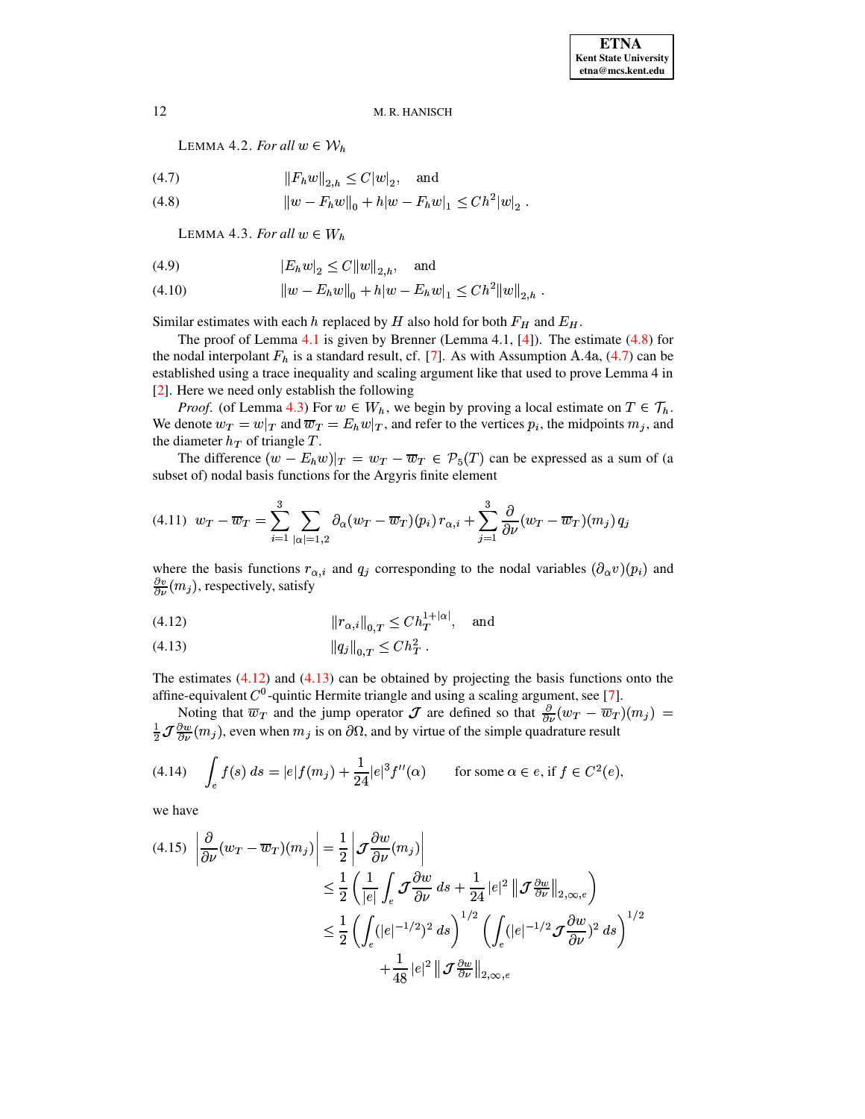<span id="page-11-0"></span>LEMMA 4.2. *For all*  $w \in \mathcal{W}_h$ 

(4.7) 
$$
||F_h w||_{2,h} \le C|w|_2
$$
, and  
(4.8)  $||w - F_h w||_0 + h|w - F_h w|_1 \le C h^2 |w|_2$ .

<span id="page-11-1"></span>
$$
||w - F_h w||_0 + h|w - F_h w|_1 \leq C h^2 |w|_2
$$

LEMMA 4.3. *For all*  $w \in W_h$ 

(4.9) 
$$
|E_h w|_2 \le C ||w||_{2,h}, \text{ and}
$$

$$
(4.10) \t\t\t ||w - E_h w||_0 + h|w - E_h w|_1 \leq Ch^2 ||w||_{2,h}.
$$

Similar estimates with each h replaced by H also hold for both  $F_H$  and  $E_H$ .

The proof of Lemma [4.1](#page-10-3) is given by Brenner (Lemma 4.1, [\[4\]](#page-14-3)). The estimate [\(4.8\)](#page-11-0) for the nodal interpolant  $F_h$  is a standard result, cf. [\[7\]](#page-14-29). As with Assumption A.4a, [\(4.7\)](#page-11-0) can be established using a trace inequality and scaling argument like that used to prove Lemma 4 in [\[2\]](#page-14-17). Here we need only establish the following

*Proof.* (of Lemma [4.3\)](#page-11-1) For  $w \in W_h$ , we begin by proving a local estimate on  $T \in \mathcal{T}_h$ . We denote  $w_T = w|_T$  and  $\overline{w}_T = E_h w|_T$ , and refer to the vertices  $p_i$ , the midpoints  $m_j$ , and the diameter  $h_T$  of triangle  $T$ .

The difference  $(w - E_h w)|_T = w_T - \overline{w}_T \in \mathcal{P}_5(T)$  can be expressed as a sum of (a subset of) nodal basis functions for the Argyris finite element

<span id="page-11-4"></span>
$$
(4.11) \ \ w_T - \overline{w}_T = \sum_{i=1}^3 \sum_{|\alpha|=1,2} \partial_\alpha (w_T - \overline{w}_T)(p_i) \ r_{\alpha,i} + \sum_{j=1}^3 \frac{\partial}{\partial \nu} (w_T - \overline{w}_T)(m_j) \ q_j
$$

where the basis functions  $r_{\alpha,i}$  and  $q_j$  corresponding to the nodal variables  $(\partial_\alpha v)(p_i)$  and  $\frac{\partial v}{\partial \nu}(m_j)$ , respectively, satisfy

<span id="page-11-2"></span>(4.12) 
$$
||r_{\alpha,i}||_{0,T} \leq C h_T^{1+|\alpha|}, \text{ and}
$$

$$
(4.13) \t\t\t ||q_j||_{0,T} \leq Ch_T^2.
$$

The estimates  $(4.12)$  and  $(4.13)$  can be obtained by projecting the basis functions onto the affine-equivalent  $C^0$ -quintic Hermite triangle and using a scaling argument, see [\[7\]](#page-14-29).

Noting that  $\overline{w}_T$  and the jump operator  $\mathcal J$  are defined so that  $\frac{\partial}{\partial v}(w_T - \overline{w}_T)(m_j) =$  $\frac{1}{2}J\frac{\partial w}{\partial \nu}(m_j)$ , even when  $m_j$  is on  $\partial\Omega$ , and by virtue of the simple quadrature result

(4.14) 
$$
\int_{e} f(s) \, ds = |e| f(m_j) + \frac{1}{24} |e|^3 f''(\alpha) \qquad \text{for some } \alpha \in e, \text{ if } f \in C^2(e),
$$

we have

<span id="page-11-3"></span>
$$
(4.15) \left| \frac{\partial}{\partial \nu} (w_T - \overline{w}_T)(m_j) \right| = \frac{1}{2} \left| \mathcal{J} \frac{\partial w}{\partial \nu} (m_j) \right|
$$
  
\n
$$
\leq \frac{1}{2} \left( \frac{1}{|e|} \int_e \mathcal{J} \frac{\partial w}{\partial \nu} ds + \frac{1}{24} |e|^2 \left\| \mathcal{J} \frac{\partial w}{\partial \nu} \right\|_{2, \infty, e} \right)
$$
  
\n
$$
\leq \frac{1}{2} \left( \int_e (|e|^{-1/2})^2 ds \right)^{1/2} \left( \int_e (|e|^{-1/2} \mathcal{J} \frac{\partial w}{\partial \nu})^2 ds \right)^{1/2}
$$
  
\n
$$
+ \frac{1}{48} |e|^2 \left\| \mathcal{J} \frac{\partial w}{\partial \nu} \right\|_{2, \infty, e}
$$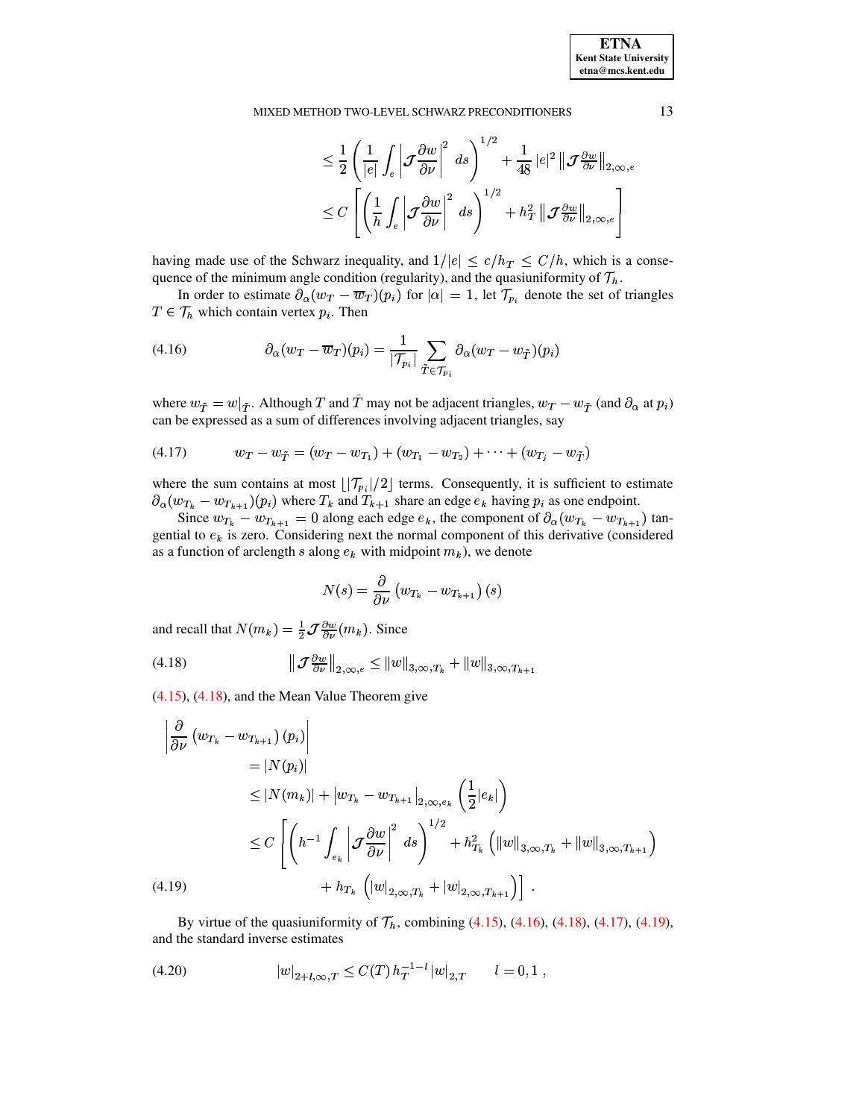**ETNA Kent State University**  $etna@mcs. kent.edu$ 

#### MIXED METHOD TWO-LEVEL SCHWARZ PRECONDITIONERS

$$
\leq \frac{1}{2}\left(\frac{1}{|e|}\int_{e}\left|\mathcal{J}\frac{\partial w}{\partial \nu}\right|^{2}\,ds\right)^{1/2}+\frac{1}{48}\,|e|^{2}\left\|\mathcal{J}\frac{\partial w}{\partial \nu}\right\|_{2,\infty,e} \leq C\left[\left(\frac{1}{h}\int_{e}\left|\mathcal{J}\frac{\partial w}{\partial \nu}\right|^{2}\,ds\right)^{1/2}+h_{T}^{2}\left\|\mathcal{J}\frac{\partial w}{\partial \nu}\right\|_{2,\infty,e}\right]
$$

having made use of the Schwarz inequality, and  $1/|e| \le c/h_T \le C/h$ , which is a consequence of the minimum angle condition (regularity), and the quasiuniformity of  $\mathcal{T}_h$ .

In order to estimate  $\partial_{\alpha}(w_T - \overline{w}_T)(p_i)$  for  $|\alpha| = 1$ , let  $\mathcal{T}_{p_i}$  denote the set of triangles  $T \in \mathcal{T}_h$  which contain vertex  $p_i$ . Then

<span id="page-12-1"></span>(4.16) 
$$
\partial_{\alpha}(w_T - \overline{w}_T)(p_i) = \frac{1}{|\mathcal{T}_{p_i}|} \sum_{\tilde{T} \in \mathcal{T}_{p_i}} \partial_{\alpha}(w_T - w_{\tilde{T}})(p_i)
$$

where  $w_{\tilde{T}} = w|_{\tilde{T}}$ . Although T and  $\tilde{T}$  may not be adjacent triangles,  $w_T - w_{\tilde{T}}$  (and  $\partial_{\alpha}$  at  $p_i$ ) can be expressed as a sum of differences involving adjacent triangles, say

<span id="page-12-2"></span>
$$
(4.17) \t w_T - w_{\tilde{T}} = (w_T - w_{T_1}) + (w_{T_1} - w_{T_2}) + \cdots + (w_{T_j} - w_{\tilde{T}})
$$

where the sum contains at most  $\lfloor |\mathcal{T}_{p_i}|/2 \rfloor$  terms. Consequently, it is sufficient to estimate  $\partial_{\alpha}(w_{T_k} - w_{T_{k+1}})(p_i)$  where  $T_k$  and  $T_{k+1}$  share an edge  $e_k$  having  $p_i$  as one endpoint.

Since  $w_{T_k} - w_{T_{k+1}} = 0$  along each edge  $e_k$ , the component of  $\partial_{\alpha}(w_{T_k} - w_{T_{k+1}})$  tangential to  $e_k$  is zero. Considering next the normal component of this derivative (considered as a function of arclength s along  $e_k$  with midpoint  $m_k$ ), we denote

$$
N(s)=\frac{\partial}{\partial\nu}\left(w_{T_k}-w_{T_{k+1}}\right)(s)
$$

and recall that  $N(m_k) = \frac{1}{2} \mathcal{J} \frac{\partial w}{\partial \nu}(m_k)$ . Since

<span id="page-12-0"></span>(4.18) 
$$
\|\mathcal{J}^{\frac{\partial w}{\partial \nu}}\|_{2,\infty,e} \leq \|w\|_{3,\infty,T_k} + \|w\|_{3,\infty,T_{k+1}}
$$

 $(4.15)$ ,  $(4.18)$ , and the Mean Value Theorem give

<span id="page-12-3"></span>
$$
\begin{aligned}\n&\left|\frac{\partial}{\partial \nu} \left( w_{T_k} - w_{T_{k+1}} \right) (p_i) \right| \\
&= |N(p_i)| \\
&\leq |N(m_k)| + \left| w_{T_k} - w_{T_{k+1}} \right|_{2, \infty, e_k} \left( \frac{1}{2} |e_k| \right) \\
&\leq C \left[ \left( h^{-1} \int_{e_k} \left| \mathcal{J} \frac{\partial w}{\partial \nu} \right|^2 ds \right)^{1/2} + h_{T_k}^2 \left( \|w\|_{3, \infty, T_k} + \|w\|_{3, \infty, T_{k+1}} \right) \right. \\
&\left. + h_{T_k} \left( |w|_{2, \infty, T_k} + |w|_{2, \infty, T_{k+1}} \right) \right].\n\end{aligned}
$$
\n(4.19)

By virtue of the quasiuniformity of  $\mathcal{T}_h$ , combining (4.15), (4.16), (4.18), (4.17), (4.19), and the standard inverse estimates

<span id="page-12-4"></span>(4.20) 
$$
|w|_{2+l,\infty,T} \leq C(T) h_T^{-1-l} |w|_{2,T} \qquad l=0,1,
$$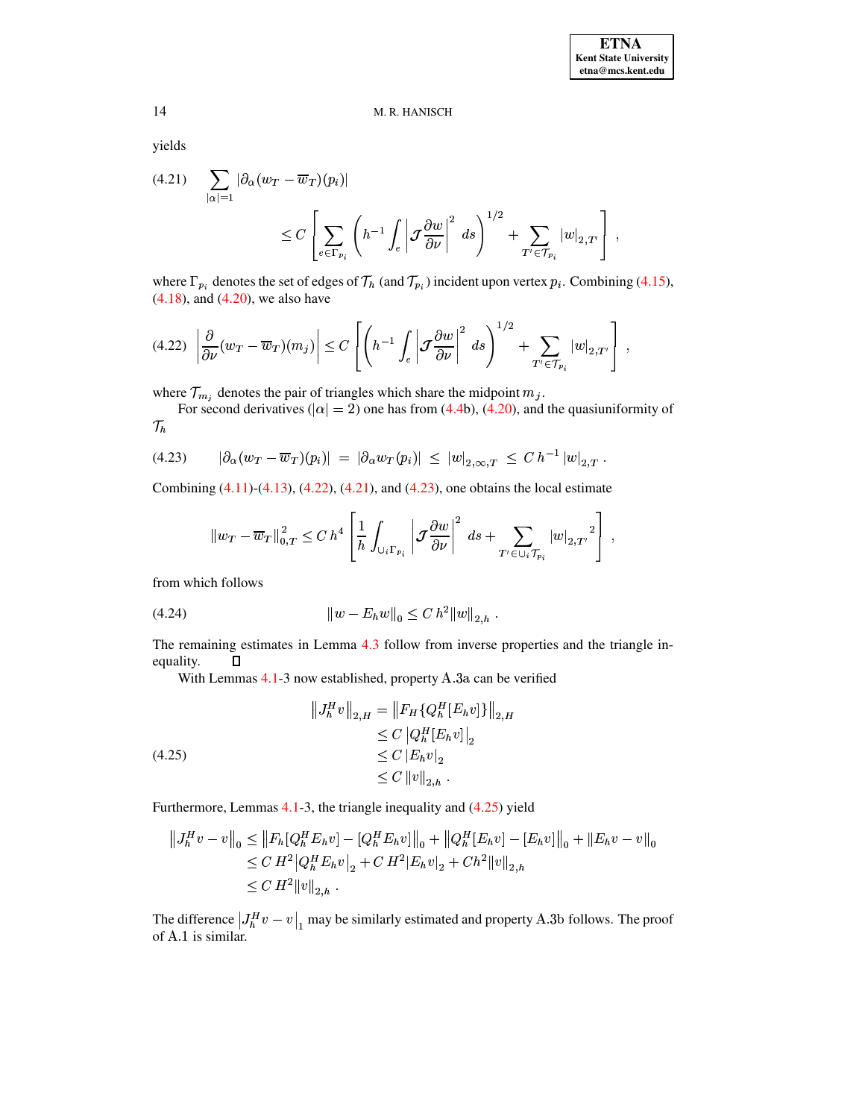yields

<span id="page-13-1"></span>
$$
(4.21) \quad \sum_{|\alpha|=1} |\partial_{\alpha}(w_{T} - \overline{w}_{T})(p_{i})|
$$
  

$$
\leq C \left[ \sum_{e \in \Gamma_{p_{i}}} \left( h^{-1} \int_{e} \left| \mathcal{J} \frac{\partial w}{\partial \nu} \right|^{2} ds \right)^{1/2} + \sum_{T' \in \mathcal{T}_{p_{i}}} |w|_{2,T'} \right],
$$

where  $\Gamma_{p_i}$  denotes the set of edges of  $\mathcal{T}_h$  (and  $\mathcal{T}_{p_i}$ ) incident upon vertex  $p_i$ . Combining [\(4.15\)](#page-11-3), [\(4.18\)](#page-12-0), and [\(4.20\)](#page-12-4), we also have

<span id="page-13-0"></span>
$$
(4.22)\left|\frac{\partial}{\partial \nu}(w_T - \overline{w}_T)(m_j)\right| \le C\left[\left(h^{-1}\int_e \left|\mathcal{J}\frac{\partial w}{\partial \nu}\right|^2\ ds\right)^{1/2} + \sum_{T' \in \mathcal{T}_{p_i}} |w|_{2,T'}\right],
$$

where  $\mathcal{T}_{m_i}$  denotes the pair of triangles which share the midpoint  $m_j$ .

For second derivatives ( $|\alpha| = 2$ ) one has from [\(4.4b](#page-10-2)), [\(4.20\)](#page-12-4), and the quasiuniformity of  $\mathcal{T}_h$ 

<span id="page-13-2"></span>
$$
(4.23) \qquad |\partial_{\alpha}(w_T - \overline{w}_T)(p_i)| \ = \ |\partial_{\alpha}w_T(p_i)| \ \leq \ |w|_{2,\infty,T} \ \leq \ C \ h^{-1} \ |w|_{2,T} \ .
$$

Combining  $(4.11)-(4.13)$  $(4.11)-(4.13)$  $(4.11)-(4.13)$ ,  $(4.22)$ ,  $(4.21)$ , and  $(4.23)$ , one obtains the local estimate

$$
\left\|w_T-\overline{w}_T\right\|_{0,T}^2\leq C\ h^4\left[\frac{1}{h}\int_{\cup_i\Gamma_{p_i}}\left|\mathcal{J}\frac{\partial w}{\partial\nu}\right|^2\ ds+\sum_{T'\in\cup_i\mathcal{T}_{p_i}}\left|w\right|_{2,T'}{}^2\right]\ ,
$$

from which follows

$$
(4.24) \t\t\t\t ||w - E_h w||_0 \leq C h^2 ||w||_{2,h} .
$$

The remaining estimates in Lemma [4.3](#page-11-1) follow from inverse properties and the triangle inequality.  $\Box$ 

<span id="page-13-3"></span>With Lemmas  $4.1-3$  $4.1-3$  now established, property  $A.\overline{3}a$  can be verified

$$
\|J_h^H v\|_{2,H} = \|F_H \{Q_h^H [E_h v]\}\|_{2,H}
$$
  
\n
$$
\leq C \left|Q_h^H [E_h v]\right|_2
$$
  
\n
$$
\leq C |E_h v|_2
$$
  
\n
$$
\leq C \|v\|_{2,h} .
$$

Furthermore, Lemmas [4.1-](#page-10-3)3, the triangle inequality and [\(4.25\)](#page-13-3) yield

$$
\begin{aligned} \|J_h^H v - v\|_0 &\le \|F_h [Q_h^H E_h v] - [Q_h^H E_h v] \|_0 + \|Q_h^H [E_h v] - [E_h v] \|_0 + \|E_h v - v\|_0 \\ &\le C H^2 |Q_h^H E_h v|_2 + C H^2 |E_h v|_2 + C h^2 \|v\|_{2,h} \\ &\le C H^2 \|v\|_{2,h} \,. \end{aligned}
$$

The difference  $|J_h^H v - v|_1$  may be similarly estimated and property A.3b follows. The proof of A.1 is similar. of A.1 is similar.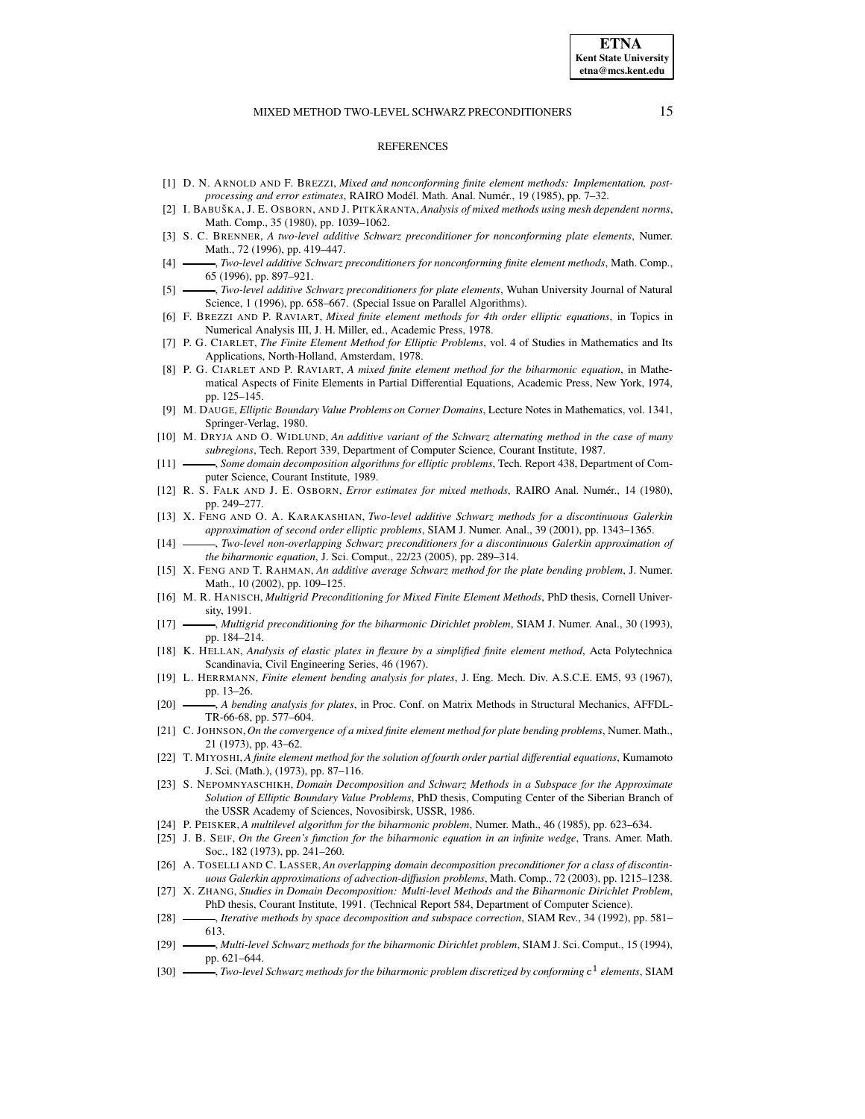#### **REFERENCES**

- <span id="page-14-8"></span>[1] D. N. ARNOLD AND F. BREZZI, *Mixed and nonconforming finite element methods: Implementation, postprocessing and error estimates*, RAIRO Modél. Math. Anal. Numér., 19 (1985), pp. 7–32.
- <span id="page-14-17"></span>[2] I. BABUSˇ KA, J. E. OSBORN, AND J. PITKA¨ RANTA,*Analysis of mixed methods using mesh dependent norms*, Math. Comp., 35 (1980), pp. 1039–1062.
- <span id="page-14-9"></span>[3] S. C. BRENNER, *A two-level additive Schwarz preconditioner for nonconforming plate elements*, Numer. Math., 72 (1996), pp. 419–447.
- <span id="page-14-3"></span>[4] , *Two-level additive Schwarz preconditioners for nonconforming finite element methods*, Math. Comp., 65 (1996), pp. 897–921.
- <span id="page-14-18"></span><span id="page-14-10"></span>[5] , *Two-level additive Schwarz preconditioners for plate elements*, Wuhan University Journal of Natural Science, 1 (1996), pp. 658–667. (Special Issue on Parallel Algorithms).
- [6] F. BREZZI AND P. RAVIART, *Mixed finite element methods for 4th order elliptic equations*, in Topics in Numerical Analysis III, J. H. Miller, ed., Academic Press, 1978.
- <span id="page-14-29"></span>[7] P. G. CIARLET, *The Finite Element Method for Elliptic Problems*, vol. 4 of Studies in Mathematics and Its Applications, North-Holland, Amsterdam, 1978.
- <span id="page-14-14"></span>[8] P. G. CIARLET AND P. RAVIART, *A mixed finite element method for the biharmonic equation*, in Mathematical Aspects of Finite Elements in Partial Differential Equations, Academic Press, New York, 1974, pp. 125–145.
- <span id="page-14-15"></span>[9] M. DAUGE, *Elliptic Boundary Value Problems on Corner Domains*, Lecture Notes in Mathematics, vol. 1341, Springer-Verlag, 1980.
- <span id="page-14-25"></span>[10] M. DRYJA AND O. WIDLUND, *An additive variant of the Schwarz alternating method in the case of many subregions*, Tech. Report 339, Department of Computer Science, Courant Institute, 1987.
- <span id="page-14-26"></span>[11] , *Some domain decomposition algorithms for elliptic problems*, Tech. Report 438, Department of Computer Science, Courant Institute, 1989.
- <span id="page-14-19"></span>[12] R. S. FALK AND J. E. OSBORN, *Error estimates for mixed methods*, RAIRO Anal. Numér., 14 (1980), pp. 249–277.
- <span id="page-14-12"></span>[13] X. FENG AND O. A. KARAKASHIAN, *Two-level additive Schwarz methods for a discontinuous Galerkin approximation of second order elliptic problems*, SIAM J. Numer. Anal., 39 (2001), pp. 1343–1365.
- <span id="page-14-11"></span><span id="page-14-4"></span>[14] , *Two-level non-overlapping Schwarz preconditioners for a discontinuous Galerkin approximation of the biharmonic equation*, J. Sci. Comput., 22/23 (2005), pp. 289–314.
- [15] X. FENG AND T. RAHMAN, *An additive average Schwarz method for the plate bending problem*, J. Numer. Math., 10 (2002), pp. 109–125.
- <span id="page-14-5"></span>[16] M. R. HANISCH, *Multigrid Preconditioning for Mixed Finite Element Methods*, PhD thesis, Cornell University, 1991.
- <span id="page-14-6"></span>[17] , *Multigrid preconditioning for the biharmonic Dirichlet problem*, SIAM J. Numer. Anal., 30 (1993), pp. 184–214.
- <span id="page-14-23"></span>[18] K. HELLAN, *Analysis of elastic plates in flexure by a simplified finite element method*, Acta Polytechnica Scandinavia, Civil Engineering Series, 46 (1967).
- <span id="page-14-20"></span>[19] L. HERRMANN, *Finite element bending analysis for plates*, J. Eng. Mech. Div. A.S.C.E. EM5, 93 (1967), pp. 13–26.
- <span id="page-14-21"></span>[20] , *A bending analysis for plates*, in Proc. Conf. on Matrix Methods in Structural Mechanics, AFFDL-TR-66-68, pp. 577–604.
- <span id="page-14-24"></span>[21] C. JOHNSON,*On the convergence of a mixed finite element method for plate bending problems*, Numer. Math., 21 (1973), pp. 43–62.
- <span id="page-14-22"></span>[22] T. MIYOSHI,*A finite element method for the solution of fourth order partial differential equations*, Kumamoto J. Sci. (Math.), (1973), pp. 87–116.
- <span id="page-14-27"></span>[23] S. NEPOMNYASCHIKH, *Domain Decomposition and Schwarz Methods in a Subspace for the Approximate Solution of Elliptic Boundary Value Problems*, PhD thesis, Computing Center of the Siberian Branch of the USSR Academy of Sciences, Novosibirsk, USSR, 1986.
- <span id="page-14-16"></span><span id="page-14-7"></span>[24] P. PEISKER, *A multilevel algorithm for the biharmonic problem*, Numer. Math., 46 (1985), pp. 623–634.
- [25] J. B. SEIF, *On the Green's function for the biharmonic equation in an infinite wedge*, Trans. Amer. Math. Soc., 182 (1973), pp. 241–260.
- <span id="page-14-13"></span>[26] A. TOSELLI AND C. LASSER,*An overlapping domain decomposition preconditioner for a class of discontinuous Galerkin approximations of advection-diffusion problems*, Math. Comp., 72 (2003), pp. 1215–1238.
- <span id="page-14-0"></span>[27] X. ZHANG, *Studies in Domain Decomposition: Multi-level Methods and the Biharmonic Dirichlet Problem*, PhD thesis, Courant Institute, 1991. (Technical Report 584, Department of Computer Science).
- <span id="page-14-28"></span>[28] , *Iterative methods by space decomposition and subspace correction*, SIAM Rev., 34 (1992), pp. 581– 613.
- <span id="page-14-1"></span>[29] , *Multi-level Schwarz methods for the biharmonic Dirichlet problem*, SIAM J. Sci. Comput., 15 (1994), pp. 621–644.
- <span id="page-14-2"></span> $[30]$   $\longrightarrow$ , *Two-level Schwarz methods for the biharmonic problem discretized by conforming*  $c^1$  *elements*, SIAM

**ETNA Kent State University etna@mcs.kent.edu**